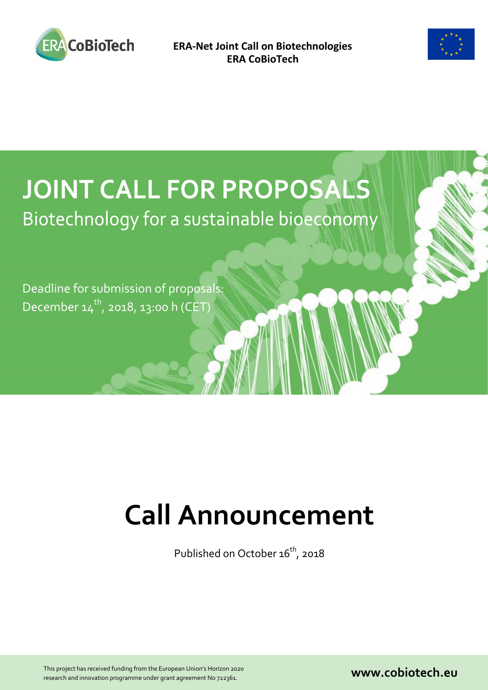



# **JOINT CALL FOR PROPOSALS** Biotechnology for a sustainable bioeconomy

Deadline for submission of proposals: December  $14^{th}$ , 2018, 13:00 h (CET)

# **Call Announcement**

Published on October 16<sup>th</sup>, 2018

This project has received funding from the European Union's Horizon 2020 This project has received funding from the European Union's Horizon 2020<br>
research and innovation programme under grant agreement No 722361.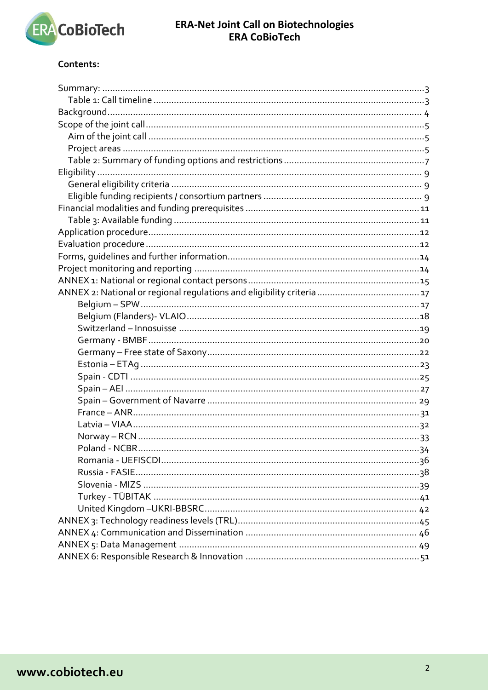

### Contents:

<span id="page-1-0"></span>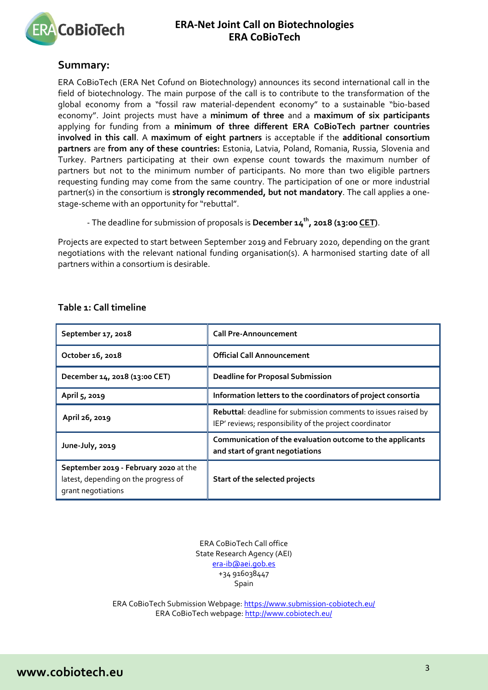

### **Summary:**

ERA CoBioTech (ERA Net Cofund on Biotechnology) announces its second international call in the field of biotechnology. The main purpose of the call is to contribute to the transformation of the global economy from a "fossil raw material-dependent economy" to a sustainable "bio-based economy". Joint projects must have a **minimum of three** and a **maximum of six participants** applying for funding from a **minimum of three different ERA CoBioTech partner countries involved in this call**. A **maximum of eight partners** is acceptable if the **additional consortium partners** are **from any of these countries:** Estonia, Latvia, Poland, Romania, Russia, Slovenia and Turkey. Partners participating at their own expense count towards the maximum number of partners but not to the minimum number of participants. No more than two eligible partners requesting funding may come from the same country. The participation of one or more industrial partner(s) in the consortium is **strongly recommended, but not mandatory**. The call applies a onestage-scheme with an opportunity for "rebuttal".

- The deadline for submission of proposals is **December 14th, 2018 (13:00 CET)**.

Projects are expected to start between September 2019 and February 2020, depending on the grant negotiations with the relevant national funding organisation(s). A harmonised starting date of all partners within a consortium is desirable.

| September 17, 2018                                                                                  | <b>Call Pre-Announcement</b>                                                                                              |
|-----------------------------------------------------------------------------------------------------|---------------------------------------------------------------------------------------------------------------------------|
| October 16, 2018                                                                                    | <b>Official Call Announcement</b>                                                                                         |
| December 14, 2018 (13:00 CET)                                                                       | <b>Deadline for Proposal Submission</b>                                                                                   |
| April 5, 2019                                                                                       | Information letters to the coordinators of project consortia                                                              |
| April 26, 2019                                                                                      | Rebuttal: deadline for submission comments to issues raised by<br>IEP' reviews; responsibility of the project coordinator |
| June-July, 2019                                                                                     | Communication of the evaluation outcome to the applicants<br>and start of grant negotiations                              |
| September 2019 - February 2020 at the<br>latest, depending on the progress of<br>grant negotiations | Start of the selected projects                                                                                            |

### <span id="page-2-0"></span>**Table 1: Call timeline**

ERA CoBioTech Call office State Research Agency (AEI) [era-ib@aei.gob.es](mailto:era-ib@aei.gob.es) +34 916038447 Spain

ERA CoBioTech Submission Webpage:<https://www.submission-cobiotech.eu/> ERA CoBioTech webpage[: http://www.cobiotech.eu/](http://www.cobiotech.eu/)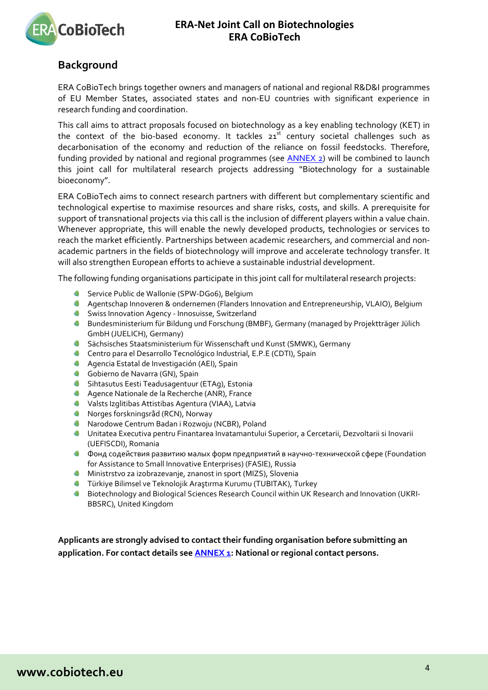

# <span id="page-3-0"></span>**Background**

ERA CoBioTech brings together owners and managers of national and regional R&D&I programmes of EU Member States, associated states and non-EU countries with significant experience in research funding and coordination.

This call aims to attract proposals focused on biotechnology as a key enabling technology (KET) in the context of the bio-based economy. It tackles  $21<sup>st</sup>$  century societal challenges such as decarbonisation of the economy and reduction of the reliance on fossil feedstocks. Therefore, funding provided by national and regional programmes (see [ANNEX](#page-15-0) 2) will be combined to launch this joint call for multilateral research projects addressing "Biotechnology for a sustainable bioeconomy".

ERA CoBioTech aims to connect research partners with different but complementary scientific and technological expertise to maximise resources and share risks, costs, and skills. A prerequisite for support of transnational projects via this call is the inclusion of different players within a value chain. Whenever appropriate, this will enable the newly developed products, technologies or services to reach the market efficiently. Partnerships between academic researchers, and commercial and nonacademic partners in the fields of biotechnology will improve and accelerate technology transfer. It will also strengthen European efforts to achieve a sustainable industrial development.

The following funding organisations participate in this joint call for multilateral research projects:

- Service Public de Wallonie (SPW-DG06), Belgium
- Agentschap Innoveren & ondernemen (Flanders Innovation and Entrepreneurship, VLAIO), Belgium
- **Swiss Innovation Agency Innosuisse, Switzerland**
- **Bundesministerium für Bildung und Forschung (BMBF), Germany (managed by Projektträger Jülich** GmbH (JUELICH), Germany)
- Sächsisches Staatsministerium für Wissenschaft und Kunst (SMWK), Germany
- Centro para el Desarrollo Tecnológico Industrial, E.P.E (CDTI), Spain
- Agencia Estatal de Investigación (AEI), Spain
- **Gobierno de Navarra (GN), Spain**
- Sihtasutus Eesti Teadusagentuur (ETAg), Estonia
- Agence Nationale de la Recherche (ANR), France
- Valsts Izglitibas Attistibas Agentura (VIAA), Latvia
- Norges forskningsråd (RCN), Norway
- Narodowe Centrum Badan i Rozwoju (NCBR), Poland
- Unitatea Executiva pentru Finantarea Invatamantului Superior, a Cercetarii, Dezvoltarii si Inovarii (UEFISCDI), Romania
- Фонд содействия развитию малых форм предприятий в научно-технической сфере (Foundation for Assistance to Small Innovative Enterprises) (FASIE), Russia
- Ministrstvo za izobrazevanje, znanost in sport (MIZS), Slovenia
- Türkiye Bilimsel ve Teknolojik Araştırma Kurumu (TUBITAK), Turkey
- **Biotechnology and Biological Sciences Research Council within UK Research and Innovation (UKRI-**BBSRC), United Kingdom

**Applicants are strongly advised to contact their funding organisation before submitting an application. For contact details se[e ANNEX 1:](#page-14-0) National or regional contact persons.**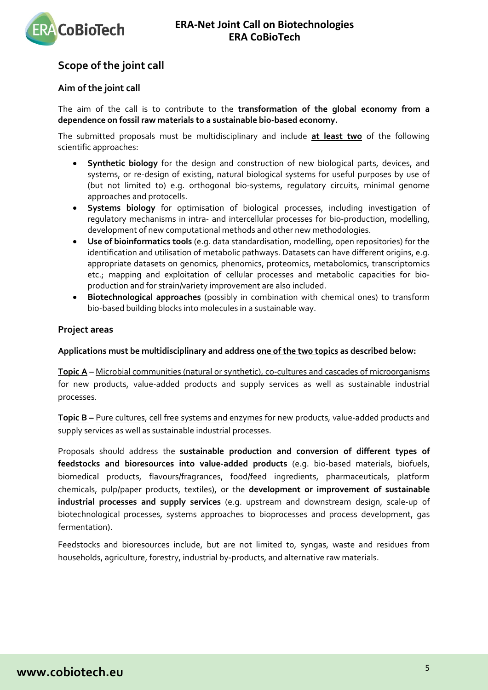



# <span id="page-4-0"></span>**Scope of the joint call**

### <span id="page-4-1"></span>**Aim of the joint call**

The aim of the call is to contribute to the **transformation of the global economy from a dependence on fossil raw materials to a sustainable bio-based economy.**

The submitted proposals must be multidisciplinary and include **at least two** of the following scientific approaches:

- **Synthetic biology** for the design and construction of new biological parts, devices, and systems, or re-design of existing, natural biological systems for useful purposes by use of (but not limited to) e.g. orthogonal bio-systems, regulatory circuits, minimal genome approaches and protocells.
- **Systems biology** for optimisation of biological processes, including investigation of regulatory mechanisms in intra- and intercellular processes for bio-production, modelling, development of new computational methods and other new methodologies.
- **Use of bioinformatics tools** (e.g. data standardisation, modelling, open repositories) for the identification and utilisation of metabolic pathways. Datasets can have different origins, e.g. appropriate datasets on genomics, phenomics, proteomics, metabolomics, transcriptomics etc.; mapping and exploitation of cellular processes and metabolic capacities for bioproduction and for strain/variety improvement are also included.
- **Biotechnological approaches** (possibly in combination with chemical ones) to transform bio-based building blocks into molecules in a sustainable way.

### <span id="page-4-2"></span>**Project areas**

### **Applications must be multidisciplinary and address one of the two topics as described below:**

**Topic A** – Microbial communities (natural or synthetic), co-cultures and cascades of microorganisms for new products, value-added products and supply services as well as sustainable industrial processes.

**Topic B –** Pure cultures, cell free systems and enzymes for new products, value-added products and supply services as well as sustainable industrial processes.

Proposals should address the **sustainable production and conversion of different types of feedstocks and bioresources into value-added products** (e.g. bio-based materials, biofuels, biomedical products, flavours/fragrances, food/feed ingredients, pharmaceuticals, platform chemicals, pulp/paper products, textiles), or the **development or improvement of sustainable industrial processes and supply services** (e.g. upstream and downstream design, scale-up of biotechnological processes, systems approaches to bioprocesses and process development, gas fermentation).

Feedstocks and bioresources include, but are not limited to, syngas, waste and residues from households, agriculture, forestry, industrial by-products, and alternative raw materials.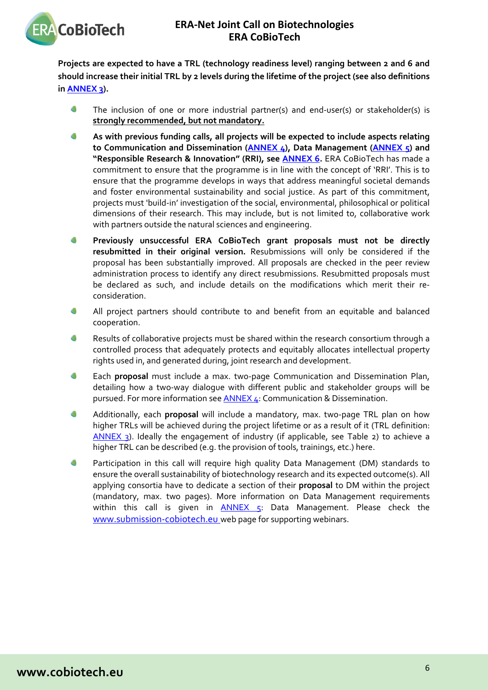

**Projects are expected to have a TRL (technology readiness level) ranging between 2 and 6 and should increase their initial TRL by 2 levels during the lifetime of the project (see also definitions in [ANNEX 3\)](#page-44-0).**

- ۰ The inclusion of one or more industrial partner(s) and end-user(s) or stakeholder(s) is **strongly recommended, but not mandatory.**
- **As with previous funding calls, all projects will be expected to include aspects relating to Communication and Dissemination [\(ANNEX 4\)](#page-45-0), Data Management [\(ANNEX 5\)](#page-48-0) and "Responsible Research & Innovation" (RRI), see [ANNEX 6.](#page-49-0)** ERA CoBioTech has made a commitment to ensure that the programme is in line with the concept of 'RRI'. This is to ensure that the programme develops in ways that address meaningful societal demands and foster environmental sustainability and social justice. As part of this commitment, projects must 'build-in' investigation of the social, environmental, philosophical or political dimensions of their research. This may include, but is not limited to, collaborative work with partners outside the natural sciences and engineering.
- $\blacksquare$ **Previously unsuccessful ERA CoBioTech grant proposals must not be directly resubmitted in their original version.** Resubmissions will only be considered if the proposal has been substantially improved. All proposals are checked in the peer review administration process to identify any direct resubmissions. Resubmitted proposals must be declared as such, and include details on the modifications which merit their reconsideration.
- $\bullet$ All project partners should contribute to and benefit from an equitable and balanced cooperation.
- a Results of collaborative projects must be shared within the research consortium through a controlled process that adequately protects and equitably allocates intellectual property rights used in, and generated during, joint research and development.
- $\sqrt{2}$ Each **proposal** must include a max. two-page Communication and Dissemination Plan, detailing how a two-way dialogue with different public and stakeholder groups will be pursued. For more information see [ANNEX 4:](#page-45-0) Communication & Dissemination.
- $\sqrt{2}$ Additionally, each **proposal** will include a mandatory, max. two-page TRL plan on how higher TRLs will be achieved during the project lifetime or as a result of it (TRL definition: [ANNEX 3\)](#page-44-0). Ideally the engagement of industry (if applicable, see Table 2) to achieve a higher TRL can be described (e.g. the provision of tools, trainings, etc.) here.
- Δ Participation in this call will require high quality Data Management (DM) standards to ensure the overall sustainability of biotechnology research and its expected outcome(s). All applying consortia have to dedicate a section of their **proposal** to DM within the project (mandatory, max. two pages). More information on Data Management requirements within this call is given in [ANNEX 5:](#page-48-0) Data Management. Please check the [www.submission-cobiotech.eu](http://www.submission-cobiotech.eu/) web page for supporting webinars.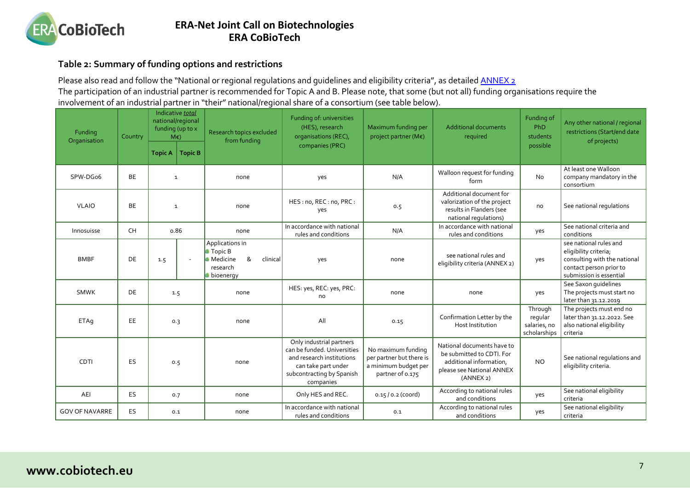

### **Table 2: Summary of funding options and restrictions**

Please also read and follow the "National or regional regulations and guidelines and eligibility criteria", as detailed **ANNEX 2** The participation of an industrial partner is recommended for Topic A and B. Please note, that some (but not all) funding organisations require the involvement of an industrial partner in "their" national/regional share of a consortium (see table below).

<span id="page-6-0"></span>

| Funding<br>Organisation | Country   |                | Indicative total<br>national/regional<br>funding (up to x<br>$M\epsilon$ | Research topics excluded<br>from funding                                                       | Funding of: universities<br>(HES), research<br>organisations (REC),                                                                                   | Maximum funding per<br>project partner (M€)                                                | <b>Additional documents</b><br>required                                                                                      | Funding of<br>PhD<br>students                      | Any other national / regional<br>restrictions (Start/end date<br>of projects)                                                         |
|-------------------------|-----------|----------------|--------------------------------------------------------------------------|------------------------------------------------------------------------------------------------|-------------------------------------------------------------------------------------------------------------------------------------------------------|--------------------------------------------------------------------------------------------|------------------------------------------------------------------------------------------------------------------------------|----------------------------------------------------|---------------------------------------------------------------------------------------------------------------------------------------|
|                         |           | <b>Topic A</b> | <b>Topic B</b>                                                           |                                                                                                | companies (PRC)                                                                                                                                       |                                                                                            |                                                                                                                              | possible                                           |                                                                                                                                       |
| SPW-DGo6                | <b>BE</b> |                | $\mathbf{1}$                                                             | none                                                                                           | yes                                                                                                                                                   | N/A                                                                                        | Walloon request for funding<br>form                                                                                          | <b>No</b>                                          | At least one Walloon<br>company mandatory in the<br>consortium                                                                        |
| <b>VLAIO</b>            | <b>BE</b> |                | $\mathbf{1}$                                                             | none                                                                                           | HES: no, REC: no, PRC:<br>yes                                                                                                                         | 0.5                                                                                        | Additional document for<br>valorization of the project<br>results in Flanders (see<br>national regulations)                  | no                                                 | See national regulations                                                                                                              |
| Innosuisse              | <b>CH</b> |                | 0.86                                                                     | none                                                                                           | In accordance with national<br>rules and conditions                                                                                                   | N/A                                                                                        | In accordance with national<br>rules and conditions                                                                          | yes                                                | See national criteria and<br>conditions                                                                                               |
| <b>BMBF</b>             | <b>DE</b> | 1.5            |                                                                          | Applications in<br><b>Topic B</b><br>&<br><b>Medicine</b><br>clinical<br>research<br>bioenergy | yes                                                                                                                                                   | none                                                                                       | see national rules and<br>eligibility criteria (ANNEX 2)                                                                     | yes                                                | see national rules and<br>eligibility criteria;<br>consulting with the national<br>contact person prior to<br>submission is essential |
| <b>SMWK</b>             | <b>DE</b> |                | 1.5                                                                      | none                                                                                           | HES: yes, REC: yes, PRC:<br>no                                                                                                                        | none                                                                                       | none                                                                                                                         | yes                                                | See Saxon quidelines<br>The projects must start no<br>later than 31.12.2019                                                           |
| ETAq                    | EE        |                | 0.3                                                                      | none                                                                                           | All                                                                                                                                                   | 0.15                                                                                       | Confirmation Letter by the<br>Host Institution                                                                               | Through<br>regular<br>salaries, no<br>scholarships | The projects must end no<br>later than 31.12.2022. See<br>also national eligibility<br>criteria                                       |
| CDTI                    | <b>ES</b> |                | 0.5                                                                      | none                                                                                           | Only industrial partners<br>can be funded. Universities<br>and research institutions<br>can take part under<br>subcontracting by Spanish<br>companies | No maximum funding<br>per partner but there is<br>a minimum budget per<br>partner of 0.175 | National documents have to<br>be submitted to CDTI. For<br>additional information,<br>please see National ANNEX<br>(ANNEX 2) | <b>NO</b>                                          | See national regulations and<br>eligibility criteria.                                                                                 |
| AEI                     | ES        |                | 0.7                                                                      | none                                                                                           | Only HES and REC.                                                                                                                                     | $0.15/0.2$ (coord)                                                                         | According to national rules<br>and conditions                                                                                | yes                                                | See national eligibility<br>criteria                                                                                                  |
| <b>GOV OF NAVARRE</b>   | ES        |                | 0.1                                                                      | none                                                                                           | In accordance with national<br>rules and conditions                                                                                                   | 0.1                                                                                        | According to national rules<br>and conditions                                                                                | yes                                                | See national eligibility<br>criteria                                                                                                  |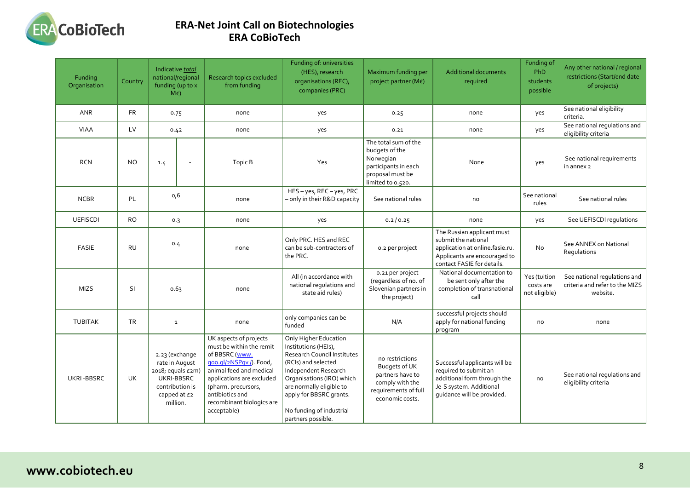

| Funding<br>Organisation | Country   | Indicative total<br>national/regional<br>funding (up to x<br>$M\epsilon$ )                                         | Research topics excluded<br>from funding                                                                                                                                                                                                     | Funding of: universities<br>(HES), research<br>organisations (REC),<br>companies (PRC)                                                                                                                                                                            | Maximum funding per<br>project partner (M€)                                                                          | <b>Additional documents</b><br>required                                                                                                            | Funding of<br>PhD<br>students<br>possible  | Any other national / regional<br>restrictions (Start/end date<br>of projects) |
|-------------------------|-----------|--------------------------------------------------------------------------------------------------------------------|----------------------------------------------------------------------------------------------------------------------------------------------------------------------------------------------------------------------------------------------|-------------------------------------------------------------------------------------------------------------------------------------------------------------------------------------------------------------------------------------------------------------------|----------------------------------------------------------------------------------------------------------------------|----------------------------------------------------------------------------------------------------------------------------------------------------|--------------------------------------------|-------------------------------------------------------------------------------|
| <b>ANR</b>              | <b>FR</b> | 0.75                                                                                                               | none                                                                                                                                                                                                                                         | yes                                                                                                                                                                                                                                                               | 0.25                                                                                                                 | none                                                                                                                                               | yes                                        | See national eligibility<br>criteria.                                         |
| <b>VIAA</b>             | LV        | 0.42                                                                                                               | none                                                                                                                                                                                                                                         | yes                                                                                                                                                                                                                                                               | 0.21                                                                                                                 | none                                                                                                                                               | yes                                        | See national regulations and<br>eligibility criteria                          |
| <b>RCN</b>              | <b>NO</b> | 1.4<br>$\overline{\phantom{a}}$                                                                                    | Topic B                                                                                                                                                                                                                                      | Yes                                                                                                                                                                                                                                                               | The total sum of the<br>budgets of the<br>Norwegian<br>participants in each<br>proposal must be<br>limited to 0.520. | None                                                                                                                                               | yes                                        | See national requirements<br>in annex 2                                       |
| <b>NCBR</b>             | PL        | 0,6                                                                                                                | none                                                                                                                                                                                                                                         | HES-yes, REC-yes, PRC<br>- only in their R&D capacity                                                                                                                                                                                                             | See national rules                                                                                                   | no                                                                                                                                                 | See national<br>rules                      | See national rules                                                            |
| <b>UEFISCDI</b>         | <b>RO</b> | 0.3                                                                                                                | none                                                                                                                                                                                                                                         | yes                                                                                                                                                                                                                                                               | 0.2/0.25                                                                                                             | none                                                                                                                                               | yes                                        | See UEFISCDI regulations                                                      |
| <b>FASIE</b>            | <b>RU</b> | 0.4                                                                                                                | none                                                                                                                                                                                                                                         | Only PRC. HES and REC<br>can be sub-contractors of<br>the PRC.                                                                                                                                                                                                    | 0.2 per project                                                                                                      | The Russian applicant must<br>submit the national<br>application at online.fasie.ru.<br>Applicants are encouraged to<br>contact FASIE for details. | No                                         | See ANNEX on National<br>Requlations                                          |
| <b>MIZS</b>             | <b>SI</b> | 0.63                                                                                                               | none                                                                                                                                                                                                                                         | All (in accordance with<br>national regulations and<br>state aid rules)                                                                                                                                                                                           | 0.21 per project<br>(regardless of no. of<br>Slovenian partners in<br>the project)                                   | National documentation to<br>be sent only after the<br>completion of transnational<br>call                                                         | Yes (tuition<br>costs are<br>not eligible) | See national regulations and<br>criteria and refer to the MIZS<br>website.    |
| <b>TUBITAK</b>          | <b>TR</b> | $\mathbf 1$                                                                                                        | none                                                                                                                                                                                                                                         | only companies can be<br>funded                                                                                                                                                                                                                                   | N/A                                                                                                                  | successful projects should<br>apply for national funding<br>program                                                                                | no                                         | none                                                                          |
| <b>UKRI-BBSRC</b>       | <b>UK</b> | 2.23 (exchange<br>rate in August<br>2018; equals £2m)<br>UKRI-BBSRC<br>contribution is<br>capped at £2<br>million. | UK aspects of projects<br>must be within the remit<br>of BBSRC (www.<br>qoo.ql/2NSPqv/). Food,<br>animal feed and medical<br>applications are excluded<br>(pharm. precursors,<br>antibiotics and<br>recombinant biologics are<br>acceptable) | Only Higher Education<br>Institutions (HEIs),<br>Research Council Institutes<br>(RCIs) and selected<br>Independent Research<br>Organisations (IRO) which<br>are normally eligible to<br>apply for BBSRC grants.<br>No funding of industrial<br>partners possible. | no restrictions<br>Budgets of UK<br>partners have to<br>comply with the<br>requirements of full<br>economic costs.   | Successful applicants will be<br>required to submit an<br>additional form through the<br>Je-S system. Additional<br>quidance will be provided.     | no                                         | See national regulations and<br>eligibility criteria                          |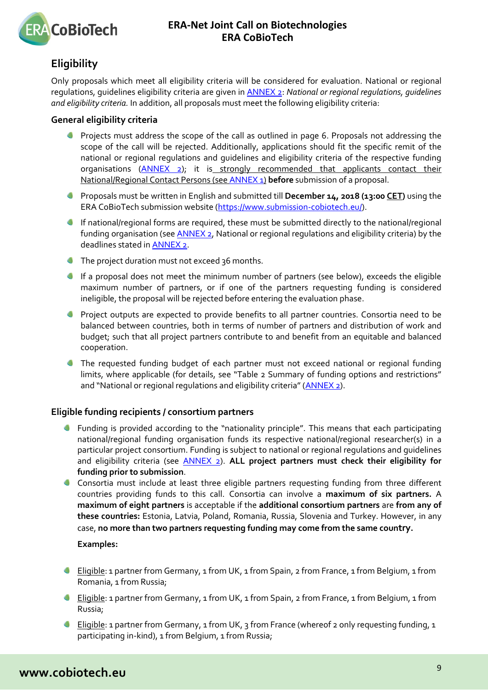

# <span id="page-8-0"></span>**Eligibility**

Only proposals which meet all eligibility criteria will be considered for evaluation. National or regional regulations, guidelines eligibility criteria are given in [ANNEX 2:](#page-15-0) *National or regional regulations, guidelines and eligibility criteria.* In addition, all proposals must meet the following eligibility criteria:

### <span id="page-8-1"></span>**General eligibility criteria**

- **Projects must address the scope of the call as outlined in page 6. Proposals not addressing the** scope of the call will be rejected. Additionally, applications should fit the specific remit of the national or regional regulations and guidelines and eligibility criteria of the respective funding organisations [\(ANNEX 2\)](#page-15-0); it is strongly recommended that applicants contact their National/Regional Contact Persons (see [ANNEX 1\)](#page-14-0) **before** submission of a proposal.
- Proposals must be written in English and submitted till **December 14, 2018 (13:00 CET)** using the ERA CoBioTech submission website [\(https://www.submission-cobiotech.eu/\)](https://www.submission-cobiotech.eu/).
- If national/regional forms are required, these must be submitted directly to the national/regional funding organisation (see [ANNEX 2,](#page-15-0) National or regional regulations and eligibility criteria) by the deadlines stated i[n ANNEX 2.](#page-15-0)
- The project duration must not exceed 36 months.
- If a proposal does not meet the minimum number of partners (see below), exceeds the eligible maximum number of partners, or if one of the partners requesting funding is considered ineligible, the proposal will be rejected before entering the evaluation phase.
- **Project outputs are expected to provide benefits to all partner countries. Consortia need to be** balanced between countries, both in terms of number of partners and distribution of work and budget; such that all project partners contribute to and benefit from an equitable and balanced cooperation.
- The requested funding budget of each partner must not exceed national or regional funding limits, where applicable (for details, see "Table 2 Summary of funding options and restrictions" and "National or regional regulations and eligibility criteria" (ANNEX 2).

### <span id="page-8-2"></span>**Eligible funding recipients / consortium partners**

- Funding is provided according to the "nationality principle". This means that each participating national/regional funding organisation funds its respective national/regional researcher(s) in a particular project consortium. Funding is subject to national or regional regulations and guidelines and eligibility criteria (see [ANNEX 2\)](#page-15-0). **ALL project partners must check their eligibility for funding prior to submission**.
- Consortia must include at least three eligible partners requesting funding from three different countries providing funds to this call. Consortia can involve a **maximum of six partners.** A **maximum of eight partners** is acceptable if the **additional consortium partners** are **from any of these countries:** Estonia, Latvia, Poland, Romania, Russia, Slovenia and Turkey. However, in any case, **no more than two partners requesting funding may come from the same country.**

### **Examples:**

- Eligible: 1 partner from Germany, 1 from UK, 1 from Spain, 2 from France, 1 from Belgium, 1 from Romania, 1 from Russia;
- Eligible: 1 partner from Germany, 1 from UK, 1 from Spain, 2 from France, 1 from Belgium, 1 from Russia;
- **Eligible:** 1 partner from Germany, 1 from UK, 3 from France (whereof 2 only requesting funding, 1 participating in-kind), 1 from Belgium, 1 from Russia;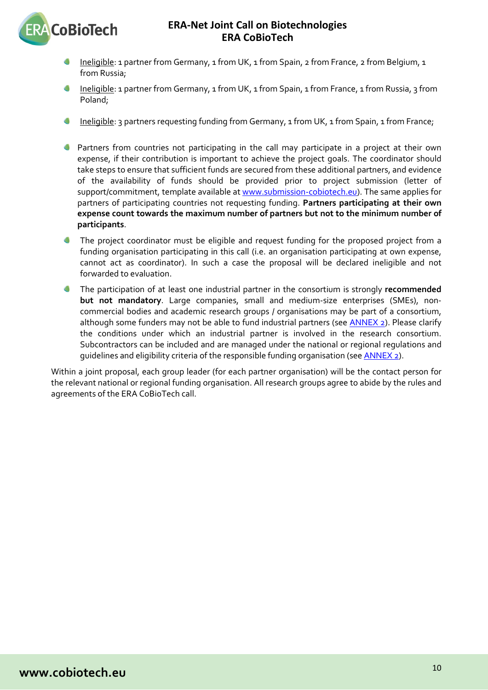

- Ineligible: 1 partner from Germany, 1 from UK, 1 from Spain, 2 from France, 2 from Belgium, 1 from Russia;
- Ineligible: 1 partner from Germany, 1 from UK, 1 from Spain, 1 from France, 1 from Russia, 3 from Poland;
- Ineligible: 3 partners requesting funding from Germany, 1 from UK, 1 from Spain, 1 from France;
- Partners from countries not participating in the call may participate in a project at their own expense, if their contribution is important to achieve the project goals. The coordinator should take steps to ensure that sufficient funds are secured from these additional partners, and evidence of the availability of funds should be provided prior to project submission (letter of support/commitment, template available at [www.submission-cobiotech.eu\)](http://www.submission-cobiotech.eu/). The same applies for partners of participating countries not requesting funding. **Partners participating at their own expense count towards the maximum number of partners but not to the minimum number of participants**.
- The project coordinator must be eligible and request funding for the proposed project from a funding organisation participating in this call (i.e. an organisation participating at own expense, cannot act as coordinator). In such a case the proposal will be declared ineligible and not forwarded to evaluation.
- The participation of at least one industrial partner in the consortium is strongly **recommended**   $\blacksquare$ **but not mandatory**. Large companies, small and medium-size enterprises (SMEs), noncommercial bodies and academic research groups / organisations may be part of a consortium, although some funders may not be able to fund industrial partners (see **ANNEX 2**). Please clarify the conditions under which an industrial partner is involved in the research consortium. Subcontractors can be included and are managed under the national or regional regulations and guidelines and eligibility criteria of the responsible funding organisation (see [ANNEX 2\)](#page-15-0).

Within a joint proposal, each group leader (for each partner organisation) will be the contact person for the relevant national or regional funding organisation. All research groups agree to abide by the rules and agreements of the ERA CoBioTech call.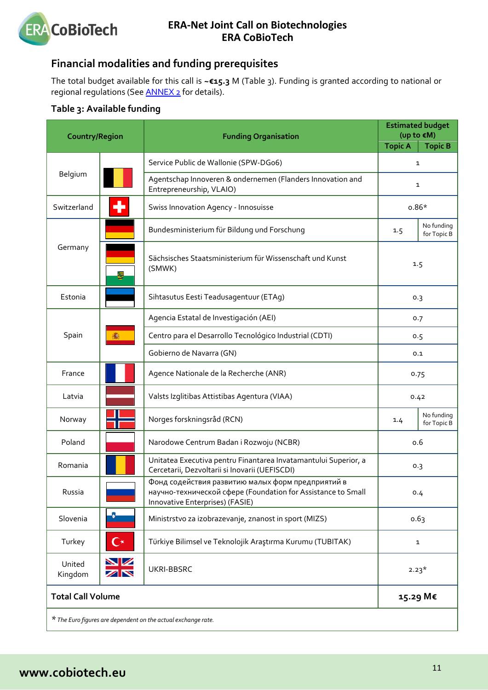

# <span id="page-10-0"></span>**Financial modalities and funding prerequisites**

The total budget available for this call is **~€15.3** M (Table 3). Funding is granted according to national or regional regulations (Se[e ANNEX 2](#page-15-0) for details).

# <span id="page-10-1"></span>**Table 3: Available funding**

| <b>Country/Region</b>    |                 | <b>Funding Organisation</b>                                                                                                                          |                | <b>Estimated budget</b><br>(up to $\varepsilon$ M) |  |  |
|--------------------------|-----------------|------------------------------------------------------------------------------------------------------------------------------------------------------|----------------|----------------------------------------------------|--|--|
|                          |                 |                                                                                                                                                      | <b>Topic A</b> | <b>Topic B</b>                                     |  |  |
|                          |                 | Service Public de Wallonie (SPW-DGo6)                                                                                                                |                | $\mathbf{1}$                                       |  |  |
| Belgium                  |                 | Agentschap Innoveren & ondernemen (Flanders Innovation and<br>Entrepreneurship, VLAIO)                                                               |                | 1                                                  |  |  |
| Switzerland              |                 | Swiss Innovation Agency - Innosuisse                                                                                                                 | $0.86*$        |                                                    |  |  |
|                          |                 | Bundesministerium für Bildung und Forschung                                                                                                          | 1.5            | No funding<br>for Topic B                          |  |  |
| Germany                  | 둏               | Sächsisches Staatsministerium für Wissenschaft und Kunst<br>(SMWK)                                                                                   |                | 1.5                                                |  |  |
| Estonia                  |                 | Sihtasutus Eesti Teadusagentuur (ETAg)                                                                                                               |                | 0.3                                                |  |  |
|                          |                 | Agencia Estatal de Investigación (AEI)                                                                                                               |                | 0.7                                                |  |  |
| Spain                    |                 | Centro para el Desarrollo Tecnológico Industrial (CDTI)                                                                                              |                | 0.5                                                |  |  |
|                          |                 | Gobierno de Navarra (GN)                                                                                                                             | 0.1            |                                                    |  |  |
| France                   |                 | Agence Nationale de la Recherche (ANR)                                                                                                               |                | 0.75                                               |  |  |
| Latvia                   |                 | Valsts Izglitibas Attistibas Agentura (VIAA)                                                                                                         |                | 0.42                                               |  |  |
| Norway                   |                 | Norges forskningsråd (RCN)                                                                                                                           | 1.4            | No funding<br>for Topic B                          |  |  |
| Poland                   |                 | Narodowe Centrum Badan i Rozwoju (NCBR)                                                                                                              |                | 0.6                                                |  |  |
| Romania                  |                 | Unitatea Executiva pentru Finantarea Invatamantului Superior, a<br>Cercetarii, Dezvoltarii si Inovarii (UEFISCDI)                                    |                | 0.3                                                |  |  |
| Russia                   |                 | Фонд содействия развитию малых форм предприятий в<br>научно-технической сфере (Foundation for Assistance to Small<br>Innovative Enterprises) (FASIE) |                | 0.4                                                |  |  |
| Slovenia                 | B               | Ministrstvo za izobrazevanje, znanost in sport (MIZS)                                                                                                |                | 0.63                                               |  |  |
| Turkey                   | $\mathbf{C}^*$  | Türkiye Bilimsel ve Teknolojik Araştırma Kurumu (TUBITAK)                                                                                            |                | $\mathbf{1}$                                       |  |  |
| United<br>Kingdom        | <b>NZ</b><br>ZN | UKRI-BBSRC                                                                                                                                           |                | $2.23*$                                            |  |  |
| <b>Total Call Volume</b> |                 |                                                                                                                                                      |                | 15.29 M€                                           |  |  |
|                          |                 | * The Euro figures are dependent on the actual exchange rate.                                                                                        |                |                                                    |  |  |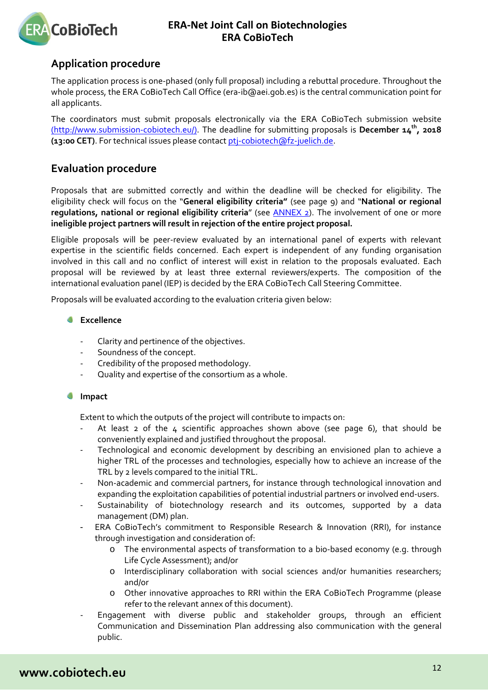

# <span id="page-11-0"></span>**Application procedure**

The application process is one-phased (only full proposal) including a rebuttal procedure. Throughout the whole process, the ERA CoBioTech Call Office (era-ib@aei.gob.es) is the central communication point for all applicants.

The coordinators must submit proposals electronically via the ERA CoBioTech submission website (http://www.submission-cobiotech.eu/). The deadline for submitting proposals is **December 14th, 2018 (13:00 CET)**. For technical issues please contac[t ptj-cobiotech@fz-juelich.de.](mailto:ptj-cobiotech@fz-juelich.de)

# <span id="page-11-1"></span>**Evaluation procedure**

Proposals that are submitted correctly and within the deadline will be checked for eligibility. The eligibility check will focus on the "**General eligibility criteria"** (see page 9) and "**National or regional regulations, national or regional eligibility criteria**" (see [ANNEX 2\)](#page-15-0). The involvement of one or more **ineligible project partners will result in rejection of the entire project proposal.**

Eligible proposals will be peer-review evaluated by an international panel of experts with relevant expertise in the scientific fields concerned. Each expert is independent of any funding organisation involved in this call and no conflict of interest will exist in relation to the proposals evaluated. Each proposal will be reviewed by at least three external reviewers/experts. The composition of the international evaluation panel (IEP) is decided by the ERA CoBioTech Call Steering Committee.

Proposals will be evaluated according to the evaluation criteria given below:

### **Excellence**

- Clarity and pertinence of the objectives.
- Soundness of the concept.
- Credibility of the proposed methodology.
- Quality and expertise of the consortium as a whole.

#### $\Box$ **Impact**

Extent to which the outputs of the project will contribute to impacts on:

- At least  $2$  of the  $4$  scientific approaches shown above (see page 6), that should be conveniently explained and justified throughout the proposal.
- Technological and economic development by describing an envisioned plan to achieve a higher TRL of the processes and technologies, especially how to achieve an increase of the TRL by 2 levels compared to the initial TRL.
- Non-academic and commercial partners, for instance through technological innovation and expanding the exploitation capabilities of potential industrial partners or involved end-users.
- Sustainability of biotechnology research and its outcomes, supported by a data management (DM) plan.
- ERA CoBioTech's commitment to Responsible Research & Innovation (RRI), for instance through investigation and consideration of:
	- The environmental aspects of transformation to a bio-based economy (e.g. through Life Cycle Assessment); and/or
	- o Interdisciplinary collaboration with social sciences and/or humanities researchers; and/or
	- o Other innovative approaches to RRI within the ERA CoBioTech Programme (please refer to the relevant annex of this document).
- Engagement with diverse public and stakeholder groups, through an efficient Communication and Dissemination Plan addressing also communication with the general public.

# **www.cobiotech.eu**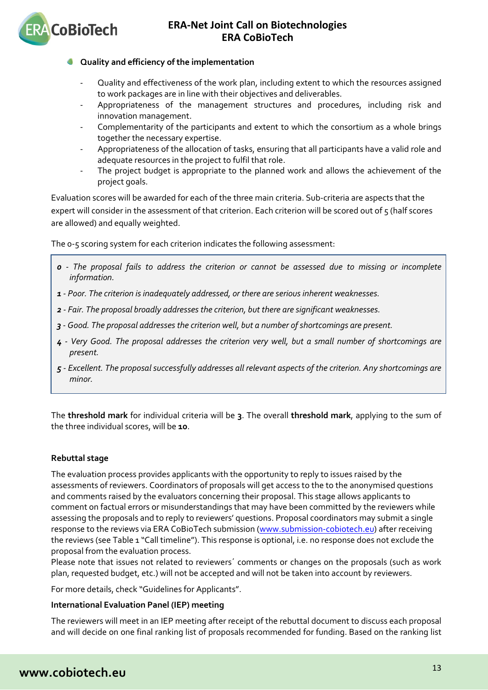

### **Quality and efficiency of the implementation**

- Quality and effectiveness of the work plan, including extent to which the resources assigned to work packages are in line with their objectives and deliverables.
- Appropriateness of the management structures and procedures, including risk and innovation management.
- Complementarity of the participants and extent to which the consortium as a whole brings together the necessary expertise.
- Appropriateness of the allocation of tasks, ensuring that all participants have a valid role and adequate resources in the project to fulfil that role.
- The project budget is appropriate to the planned work and allows the achievement of the project goals.

Evaluation scores will be awarded for each of the three main criteria. Sub-criteria are aspects that the expert will consider in the assessment of that criterion. Each criterion will be scored out of 5 (half scores are allowed) and equally weighted.

The 0-5 scoring system for each criterion indicates the following assessment:

- *0 - The proposal fails to address the criterion or cannot be assessed due to missing or incomplete information.*
- *1 - Poor. The criterion is inadequately addressed, or there are serious inherent weaknesses.*
- *2 - Fair. The proposal broadly addresses the criterion, but there are significant weaknesses.*
- *3 - Good. The proposal addresses the criterion well, but a number of shortcomings are present.*
- *4 - Very Good. The proposal addresses the criterion very well, but a small number of shortcomings are present.*
- *5 - Excellent. The proposal successfully addresses all relevant aspects of the criterion. Any shortcomings are minor.*

The **threshold mark** for individual criteria will be **3**. The overall **threshold mark**, applying to the sum of the three individual scores, will be **10**.

### **Rebuttal stage**

The evaluation process provides applicants with the opportunity to reply to issues raised by the assessments of reviewers. Coordinators of proposals will get access to the to the anonymised questions and comments raised by the evaluators concerning their proposal. This stage allows applicants to comment on factual errors or misunderstandings that may have been committed by the reviewers while assessing the proposals and to reply to reviewers' questions. Proposal coordinators may submit a single response to the reviews via ERA CoBioTech submission [\(www.submission-cobiotech.eu\)](http://www.submission-cobiotech.eu/) after receiving the reviews (see Table 1 "Call timeline"). This response is optional, i.e. no response does not exclude the proposal from the evaluation process.

Please note that issues not related to reviewers´ comments or changes on the proposals (such as work plan, requested budget, etc.) will not be accepted and will not be taken into account by reviewers.

For more details, check "Guidelines for Applicants".

### **International Evaluation Panel (IEP) meeting**

The reviewers will meet in an IEP meeting after receipt of the rebuttal document to discuss each proposal and will decide on one final ranking list of proposals recommended for funding. Based on the ranking list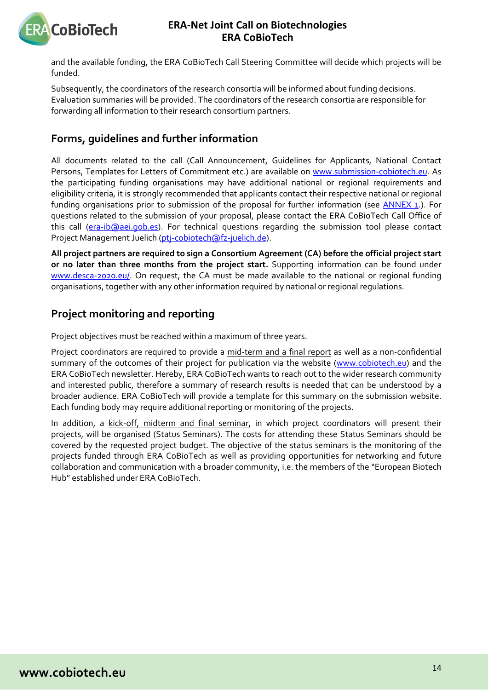

and the available funding, the ERA CoBioTech Call Steering Committee will decide which projects will be funded.

Subsequently, the coordinators of the research consortia will be informed about funding decisions. Evaluation summaries will be provided. The coordinators of the research consortia are responsible for forwarding all information to their research consortium partners.

# <span id="page-13-0"></span>**Forms, guidelines and further information**

All documents related to the call (Call Announcement, Guidelines for Applicants, National Contact Persons, Templates for Letters of Commitment etc.) are available on [www.submission-cobiotech.eu.](http://www.submission-cobiotech.eu/) As the participating funding organisations may have additional national or regional requirements and eligibility criteria, it is strongly recommended that applicants contact their respective national or regional funding organisations prior to submission of the proposal for further information (see  $\overline{\text{ANNEX}}$  1.). For questions related to the submission of your proposal, please contact the ERA CoBioTech Call Office of this call [\(era-ib@aei.gob.es\)](mailto:era-ib@aei.gob.es). For technical questions regarding the submission tool please contact Project Management Juelich [\(ptj-cobiotech@fz-juelich.de\)](mailto:ptj-cobiotech@fz-juelich.de).

**All project partners are required to sign a Consortium Agreement (CA) before the official project start or no later than three months from the project start.** Supporting information can be found under [www.desca-2020.eu/.](http://www.desca-2020.eu/) On request, the CA must be made available to the national or regional funding organisations, together with any other information required by national or regional regulations.

# <span id="page-13-1"></span>**Project monitoring and reporting**

Project objectives must be reached within a maximum of three years.

Project coordinators are required to provide a mid-term and a final report as well as a non-confidential summary of the outcomes of their project for publication via the website [\(www.cobiotech.eu\)](http://www.cobiotech.eu/) and the ERA CoBioTech newsletter. Hereby, ERA CoBioTech wants to reach out to the wider research community and interested public, therefore a summary of research results is needed that can be understood by a broader audience. ERA CoBioTech will provide a template for this summary on the submission website. Each funding body may require additional reporting or monitoring of the projects.

In addition, a kick-off, midterm and final seminar, in which project coordinators will present their projects, will be organised (Status Seminars). The costs for attending these Status Seminars should be covered by the requested project budget. The objective of the status seminars is the monitoring of the projects funded through ERA CoBioTech as well as providing opportunities for networking and future collaboration and communication with a broader community, i.e. the members of the "European Biotech Hub" established under ERA CoBioTech.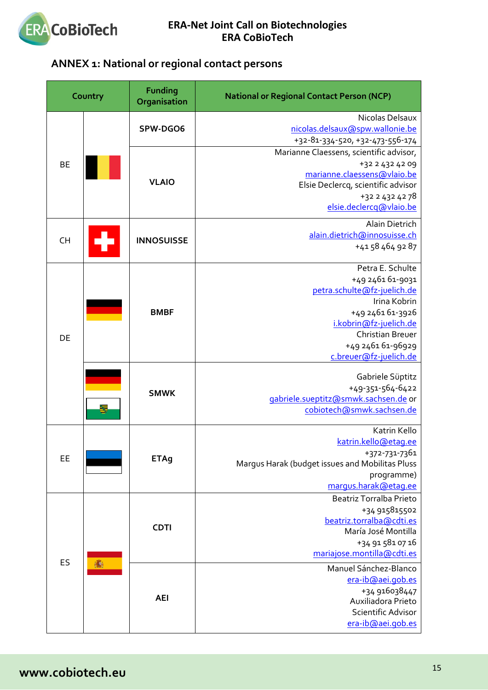

# <span id="page-14-0"></span>**ANNEX 1: National or regional contact persons**

|           | Country | <b>Funding</b><br>Organisation | <b>National or Regional Contact Person (NCP)</b>                                                                                                                                                            |
|-----------|---------|--------------------------------|-------------------------------------------------------------------------------------------------------------------------------------------------------------------------------------------------------------|
|           |         | SPW-DGO6                       | Nicolas Delsaux<br>nicolas.delsaux@spw.wallonie.be<br>+32-81-334-520, +32-473-556-174                                                                                                                       |
| <b>BE</b> |         | <b>VLAIO</b>                   | Marianne Claessens, scientific advisor,<br>+32 2 432 42 09<br>marianne.claessens@vlaio.be<br>Elsie Declercq, scientific advisor<br>+32 2 432 42 78<br>elsie.declercq@vlaio.be                               |
| <b>CH</b> |         | <b>INNOSUISSE</b>              | Alain Dietrich<br>alain.dietrich@innosuisse.ch<br>+41 58 464 92 87                                                                                                                                          |
| DE        |         | <b>BMBF</b>                    | Petra E. Schulte<br>+49 2461 61-9031<br>petra.schulte@fz-juelich.de<br>Irina Kobrin<br>+49 2461 61-3926<br>i.kobrin@fz-juelich.de<br><b>Christian Breuer</b><br>+49 2461 61-96929<br>c.breuer@fz-juelich.de |
|           |         | <b>SMWK</b>                    | Gabriele Süptitz<br>+49-351-564-6422<br>gabriele.sueptitz@smwk.sachsen.de or<br>cobiotech@smwk.sachsen.de                                                                                                   |
| EE        |         | <b>ETAq</b>                    | Katrin Kello<br>katrin.kello@etaq.ee<br>+372-731-7361<br>Margus Harak (budget issues and Mobilitas Pluss<br>programme)<br>margus.harak@etag.ee                                                              |
| ES        |         | <b>CDTI</b>                    | <b>Beatriz Torralba Prieto</b><br>+34 915815502<br>beatriz.torralba@cdti.es<br>María José Montilla<br>+34 91 581 07 16<br>mariajose.montilla@cdti.es                                                        |
|           |         | <b>AEI</b>                     | Manuel Sánchez-Blanco<br>era-ib@aei.gob.es<br>+34 916038447<br>Auxiliadora Prieto<br>Scientific Advisor<br>era-ib@aei.gob.es                                                                                |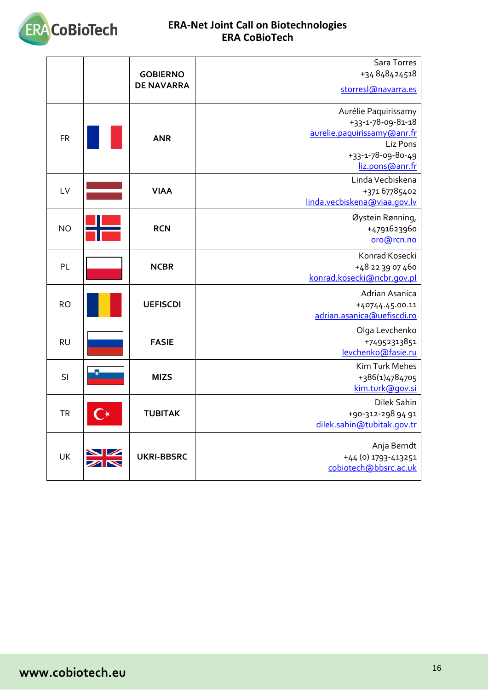

<span id="page-15-1"></span><span id="page-15-0"></span>

|           | <b>GOBIERNO</b><br><b>DE NAVARRA</b> | Sara Torres<br>+34 848424518<br>storres (@navarra.es                                                                         |
|-----------|--------------------------------------|------------------------------------------------------------------------------------------------------------------------------|
| <b>FR</b> | <b>ANR</b>                           | Aurélie Paquirissamy<br>+33-1-78-09-81-18<br>aurelie.paquirissamy@anr.fr<br>Liz Pons<br>+33-1-78-09-80-49<br>liz.pons@anr.fr |
| LV        | <b>VIAA</b>                          | Linda Vecbiskena<br>+371 67785402<br>linda.vecbiskena@viaa.gov.lv                                                            |
| <b>NO</b> | <b>RCN</b>                           | Øystein Rønning,<br>+4791623960<br>oro@rcn.no                                                                                |
| PL        | <b>NCBR</b>                          | Konrad Kosecki<br>+48 22 39 07 460<br>konrad.kosecki@ncbr.gov.pl                                                             |
| <b>RO</b> | <b>UEFISCDI</b>                      | Adrian Asanica<br>+40744.45.00.11<br>adrian.asanica@uefiscdi.ro                                                              |
| <b>RU</b> | <b>FASIE</b>                         | Olga Levchenko<br>+74952313851<br>levchenko@fasie.ru                                                                         |
| SI        | <b>MIZS</b>                          | Kim Turk Mehes<br>+386(1)4784705<br>kim.turk@qov.si                                                                          |
| <b>TR</b> | <b>TUBITAK</b>                       | Dilek Sahin<br>+90-312-298 94 91<br>dilek.sahin@tubitak.gov.tr                                                               |
| UK        | <b>UKRI-BBSRC</b>                    | Anja Berndt<br>+44 (0) 1793-413251<br>cobiotech@bbsrc.ac.uk                                                                  |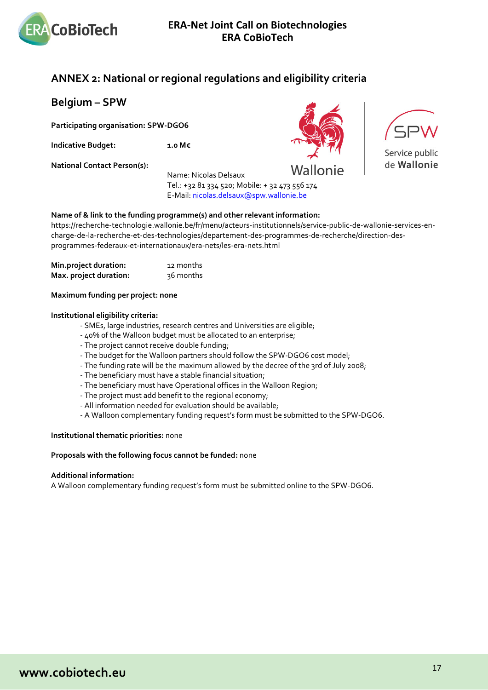

# <span id="page-16-0"></span>**ANNEX 2: National or regional regulations and eligibility criteria**

<span id="page-16-1"></span>**Belgium – SPW** 

**Participating organisation: SPW-DGO6**

**Indicative Budget: 1.0 M€**

**National Contact Person(s):**

Name: Nicolas Delsaux Tel.: +32 81 334 520; Mobile: + 32 473 556 174 E-Mail[: nicolas.delsaux@spw.wallonie.be](mailto:nicolas.delsaux@spw.wallonie.be)





Service public de Wallonie

### **Name of & link to the funding programme(s) and other relevant information:**

https://recherche-technologie.wallonie.be/fr/menu/acteurs-institutionnels/service-public-de-wallonie-services-encharge-de-la-recherche-et-des-technologies/departement-des-programmes-de-recherche/direction-desprogrammes-federaux-et-internationaux/era-nets/les-era-nets.html

| Min.project duration:  | 12 months |
|------------------------|-----------|
| Max. project duration: | 36 months |

### **Maximum funding per project: none**

#### **Institutional eligibility criteria:**

- SMEs, large industries, research centres and Universities are eligible;
- 40% of the Walloon budget must be allocated to an enterprise;
- The project cannot receive double funding;
- The budget for the Walloon partners should follow the SPW-DGO6 cost model;
- The funding rate will be the maximum allowed by the decree of the 3rd of July 2008;
- The beneficiary must have a stable financial situation;
- The beneficiary must have Operational offices in the Walloon Region;
- The project must add benefit to the regional economy;
- All information needed for evaluation should be available;
- A Walloon complementary funding request's form must be submitted to the SPW-DGO6.

#### **Institutional thematic priorities:** none

#### **Proposals with the following focus cannot be funded:** none

#### **Additional information:**

A Walloon complementary funding request's form must be submitted online to the SPW-DGO6.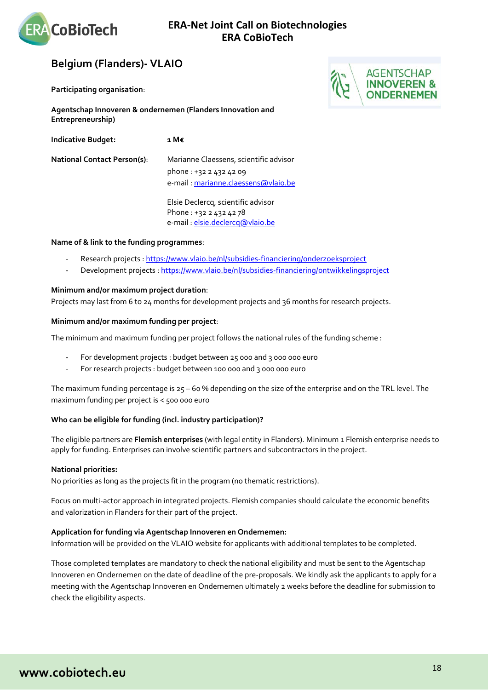

# <span id="page-17-0"></span>**Belgium (Flanders)- VLAIO**

**Participating organisation**:



| <b>Indicative Budget:</b>          | 1 M€                                                                                                     |
|------------------------------------|----------------------------------------------------------------------------------------------------------|
| <b>National Contact Person(s):</b> | Marianne Claessens, scientific advisor<br>phone: +32 2 432 42 09<br>e-mail : marianne.claessens@vlaio.be |
|                                    | Elsie Declercq, scientific advisor<br>Phone: +32 2 432 42 78<br>e-mail : elsie.declercq@vlaio.be         |

#### **Name of & link to the funding programmes**:

- Research projects [: https://www.vlaio.be/nl/subsidies-financiering/onderzoeksproject](https://www.vlaio.be/nl/subsidies-financiering/onderzoeksproject)
- Development projects [: https://www.vlaio.be/nl/subsidies-financiering/ontwikkelingsproject](https://www.vlaio.be/nl/subsidies-financiering/ontwikkelingsproject)

### **Minimum and/or maximum project duration**:

Projects may last from 6 to 24 months for development projects and 36 months for research projects.

#### **Minimum and/or maximum funding per project**:

The minimum and maximum funding per project follows the national rules of the funding scheme :

- For development projects : budget between 25 000 and 3 000 000 euro
- For research projects : budget between 100 000 and 3 000 000 euro

The maximum funding percentage is  $25 - 60$  % depending on the size of the enterprise and on the TRL level. The maximum funding per project is < 500 000 euro

### **Who can be eligible for funding (incl. industry participation)?**

The eligible partners are **Flemish enterprises** (with legal entity in Flanders). Minimum 1 Flemish enterprise needs to apply for funding. Enterprises can involve scientific partners and subcontractors in the project.

#### **National priorities:**

No priorities as long as the projects fit in the program (no thematic restrictions).

Focus on multi-actor approach in integrated projects. Flemish companies should calculate the economic benefits and valorization in Flanders for their part of the project.

#### **Application for funding via Agentschap Innoveren en Ondernemen:**

Information will be provided on the VLAIO website for applicants with additional templates to be completed.

Those completed templates are mandatory to check the national eligibility and must be sent to the Agentschap Innoveren en Ondernemen on the date of deadline of the pre-proposals. We kindly ask the applicants to apply for a meeting with the Agentschap Innoveren en Ondernemen ultimately 2 weeks before the deadline for submission to check the eligibility aspects.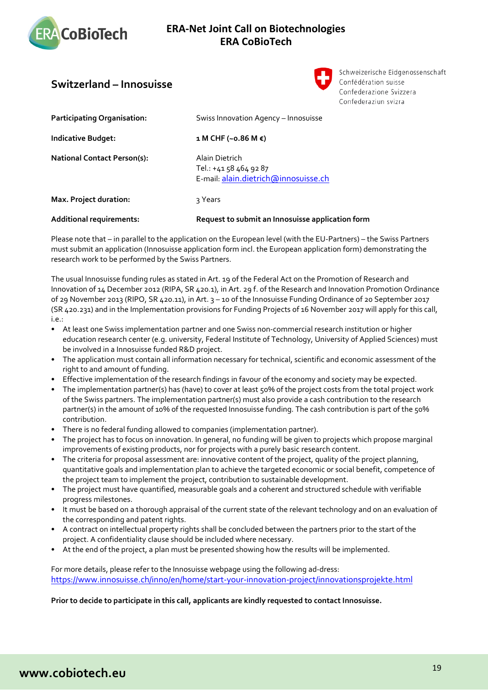

# <span id="page-18-0"></span>**Switzerland – Innosuisse**



Schweizerische Eidgenossenschaft Confédération suisse Confederazione Svizzera Confederaziun svizra

| <b>Additional requirements:</b>    | Request to submit an Innosuisse application form                                |
|------------------------------------|---------------------------------------------------------------------------------|
| Max. Project duration:             | २ Years                                                                         |
| <b>National Contact Person(s):</b> | Alain Dietrich<br>Tel.: +41 58 464 92 87<br>E-mail alain.dietrich@innosuisse.ch |
| <b>Indicative Budget:</b>          | $1 M CHF (~0.86 M \epsilon)$                                                    |
| <b>Participating Organisation:</b> | Swiss Innovation Agency - Innosuisse                                            |

Please note that – in parallel to the application on the European level (with the EU-Partners) – the Swiss Partners must submit an application (Innosuisse application form incl. the European application form) demonstrating the research work to be performed by the Swiss Partners.

The usual Innosuisse funding rules as stated in Art. 19 of the Federal Act on the Promotion of Research and Innovation of 14 December 2012 (RIPA, SR 420.1), in Art. 29 f. of the Research and Innovation Promotion Ordinance of 29 November 2013 (RIPO, SR 420.11), in Art. 3 – 10 of the Innosuisse Funding Ordinance of 20 September 2017 (SR 420.231) and in the Implementation provisions for Funding Projects of 16 November 2017 will apply for this call, i.e.:

- At least one Swiss implementation partner and one Swiss non-commercial research institution or higher education research center (e.g. university, Federal Institute of Technology, University of Applied Sciences) must be involved in a Innosuisse funded R&D project.
- The application must contain all information necessary for technical, scientific and economic assessment of the right to and amount of funding.
- Effective implementation of the research findings in favour of the economy and society may be expected.
- The implementation partner(s) has (have) to cover at least 50% of the project costs from the total project work of the Swiss partners. The implementation partner(s) must also provide a cash contribution to the research partner(s) in the amount of 10% of the requested Innosuisse funding. The cash contribution is part of the 50% contribution.
- There is no federal funding allowed to companies (implementation partner).
- The project has to focus on innovation. In general, no funding will be given to projects which propose marginal improvements of existing products, nor for projects with a purely basic research content.
- The criteria for proposal assessment are: innovative content of the project, quality of the project planning, quantitative goals and implementation plan to achieve the targeted economic or social benefit, competence of the project team to implement the project, contribution to sustainable development.
- The project must have quantified, measurable goals and a coherent and structured schedule with verifiable progress milestones.
- It must be based on a thorough appraisal of the current state of the relevant technology and on an evaluation of the corresponding and patent rights.
- A contract on intellectual property rights shall be concluded between the partners prior to the start of the project. A confidentiality clause should be included where necessary.
- At the end of the project, a plan must be presented showing how the results will be implemented.

For more details, please refer to the Innosuisse webpage using the following ad-dress: <https://www.innosuisse.ch/inno/en/home/start-your-innovation-project/innovationsprojekte.html>

### **Prior to decide to participate in this call, applicants are kindly requested to contact Innosuisse.**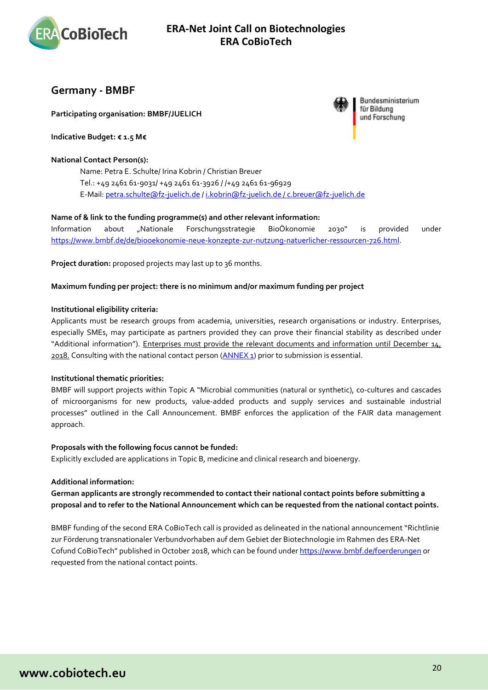

### <span id="page-19-0"></span>**Germany - BMBF**

**Participating organisation: BMBF/JUELICH**

**Indicative Budget: € 1.5 M€**

### **National Contact Person(s):**

Name: Petra E. Schulte/ Irina Kobrin / Christian Breuer Tel.: +49 2461 61-9031/ +49 2461 61-3926 / /+49 2461 61-96929 E-Mail: [petra.schulte@fz-juelich.de](mailto:petra.schulte@fz-juelich.de) / [i.kobrin@fz-juelich.de / c.breuer@fz-juelich.de](mailto:i.kobrin@fz-juelich.de%20/%20c.breuer@fz-juelich.de)

### **Name of & link to the funding programme(s) and other relevant information:**

Information about "Nationale Forschungsstrategie BioÖkonomie 2030" is provided under [https://www.bmbf.de/de/biooekonomie-neue-konzepte-zur-nutzung-natuerlicher-ressourcen-726.html.](https://www.bmbf.de/de/biooekonomie-neue-konzepte-zur-nutzung-natuerlicher-ressourcen-726.html)

**Project duration:** proposed projects may last up to 36 months.

### **Maximum funding per project: there is no minimum and/or maximum funding per project**

### **Institutional eligibility criteria:**

Applicants must be research groups from academia, universities, research organisations or industry. Enterprises, especially SMEs, may participate as partners provided they can prove their financial stability as described under "Additional information"). Enterprises must provide the relevant documents and information until December 14, 2018. Consulting with the national contact person [\(ANNEX 1\)](#page-14-0) prior to submission is essential.

### **Institutional thematic priorities:**

BMBF will support projects within Topic A "Microbial communities (natural or synthetic), co-cultures and cascades of microorganisms for new products, value-added products and supply services and sustainable industrial processes" outlined in the Call Announcement. BMBF enforces the application of the FAIR data management approach.

#### **Proposals with the following focus cannot be funded:**

Explicitly excluded are applications in Topic B, medicine and clinical research and bioenergy.

#### **Additional information:**

**German applicants are strongly recommended to contact their national contact points before submitting a proposal and to refer to the National Announcement which can be requested from the national contact points.**

BMBF funding of the second ERA CoBioTech call is provided as delineated in the national announcement "Richtlinie zur Förderung transnationaler Verbundvorhaben auf dem Gebiet der Biotechnologie im Rahmen des ERA-Net Cofund CoBioTech" published in October 2018, which can be found under [https://www.bmbf.de/foerderungen](https://www.bmbf.de/foerderungen/) or requested from the national contact points.



Bundesministerium für Bildung und Forschung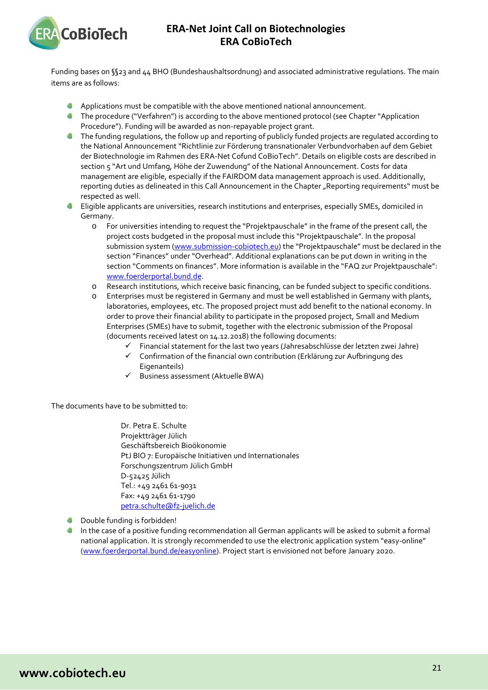

Funding bases on §§23 and 44 BHO (Bundeshaushaltsordnung) and associated administrative regulations. The main items are as follows:

- Applications must be compatible with the above mentioned national announcement.
- **The procedure ("Verfahren") is according to the above mentioned protocol (see Chapter "Application** Procedure"). Funding will be awarded as non-repayable project grant.
- The funding regulations, the follow up and reporting of publicly funded projects are regulated according to the National Announcement "Richtlinie zur Förderung transnationaler Verbundvorhaben auf dem Gebiet der Biotechnologie im Rahmen des ERA-Net Cofund CoBioTech". Details on eligible costs are described in section 5 "Art und Umfang, Höhe der Zuwendung" of the National Announcement. Costs for data management are eligible, especially if the FAIRDOM data management approach is used. Additionally, reporting duties as delineated in this Call Announcement in the Chapter "Reporting requirements" must be respected as well.
- Eligible applicants are universities, research institutions and enterprises, especially SMEs, domiciled in  $\sim$ Germany.
	- o For universities intending to request the "Projektpauschale" in the frame of the present call, the project costs budgeted in the proposal must include this "Projektpauschale". In the proposal submission system [\(www.submission-cobiotech.eu\)](http://www.submission-cobiotech.eu/) the "Projektpauschale" must be declared in the section "Finances" under "Overhead". Additional explanations can be put down in writing in the section "Comments on finances". More information is available in the "FAQ zur Projektpauschale": [www.foerderportal.bund.de.](http://www.foerderportal.bund.de/)
	- o Research institutions, which receive basic financing, can be funded subject to specific conditions.
	- Enterprises must be registered in Germany and must be well established in Germany with plants, laboratories, employees, etc. The proposed project must add benefit to the national economy. In order to prove their financial ability to participate in the proposed project, Small and Medium Enterprises (SMEs) have to submit, together with the electronic submission of the Proposal (documents received latest on 14.12.2018) the following documents:
		- $\checkmark$  Financial statement for the last two years (Jahresabschlüsse der letzten zwei Jahre)
		- $\checkmark$  Confirmation of the financial own contribution (Erklärung zur Aufbringung des Eigenanteils)
		- $\checkmark$  Business assessment (Aktuelle BWA)

The documents have to be submitted to:

Dr. Petra E. Schulte Projektträger Jülich Geschäftsbereich Bioökonomie PtJ BIO 7: Europäische Initiativen und Internationales Forschungszentrum Jülich GmbH D-52425 Jülich Tel.: +49 2461 61-9031 Fax: +49 2461 61-1790 [petra.schulte@fz-juelich.de](mailto:petra.schulte@fz-juelich.de)

- **C** Double funding is forbidden!
- In the case of a positive funding recommendation all German applicants will be asked to submit a formal national application. It is strongly recommended to use the electronic application system "easy-online" [\(www.foerderportal.bund.de/easyonline\)](http://www.foerderportal.bund.de/easyonline). Project start is envisioned not before January 2020.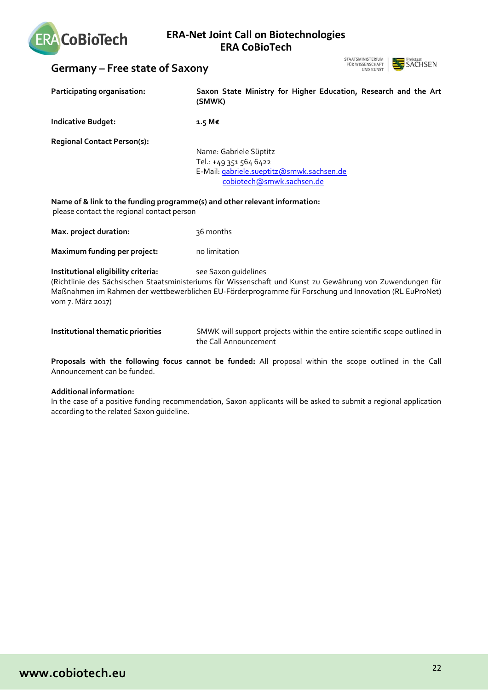

# <span id="page-21-0"></span>**Germany – Free state of Saxony**



| Participating organisation:                                                                                              | Saxon State Ministry for Higher Education, Research and the Art<br>(SMWK)                                                                                                                                                                    |
|--------------------------------------------------------------------------------------------------------------------------|----------------------------------------------------------------------------------------------------------------------------------------------------------------------------------------------------------------------------------------------|
| <b>Indicative Budget:</b>                                                                                                | 1.5 M€                                                                                                                                                                                                                                       |
| <b>Regional Contact Person(s):</b>                                                                                       | Name: Gabriele Süptitz<br>Tel.: +49 351 564 6422<br>E-Mail: gabriele.sueptitz@smwk.sachsen.de<br>cobiotech@smwk.sachsen.de                                                                                                                   |
| Name of & link to the funding programme(s) and other relevant information:<br>please contact the regional contact person |                                                                                                                                                                                                                                              |
| Max. project duration:                                                                                                   | 36 months                                                                                                                                                                                                                                    |
| Maximum funding per project:                                                                                             | no limitation                                                                                                                                                                                                                                |
| Institutional eligibility criteria:<br>vom 7. März 2017)                                                                 | see Saxon guidelines<br>(Richtlinie des Sächsischen Staatsministeriums für Wissenschaft und Kunst zu Gewährung von Zuwendungen für<br>Maßnahmen im Rahmen der wettbewerblichen EU-Förderprogramme für Forschung und Innovation (RL EuProNet) |
| Institutional thematic priorities                                                                                        | SMWK will support projects within the entire scientific scope outlined in<br>the Call Announcement                                                                                                                                           |

**Proposals with the following focus cannot be funded:** All proposal within the scope outlined in the Call Announcement can be funded.

### **Additional information:**

In the case of a positive funding recommendation, Saxon applicants will be asked to submit a regional application according to the related Saxon guideline.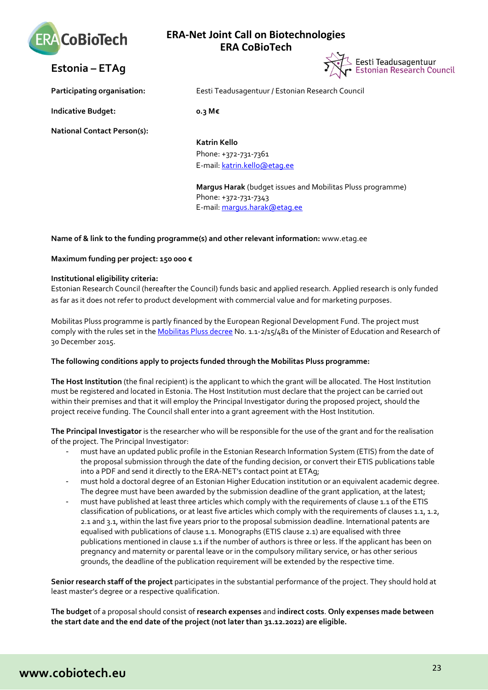



<span id="page-22-0"></span>**Estonia – ETAg** 

**Participating organisation:** Eesti Teadusagentuur / Estonian Research Council

**Indicative Budget: 0.3 M€**

**National Contact Person(s):**

**Katrin Kello** Phone: +372-731-7361 E-mail: [katrin.kello@etag.ee](mailto:katrin.kello@etag.ee)

**Margus Harak** (budget issues and Mobilitas Pluss programme) Phone: +372-731-7343 E-mail: [margus.harak@etag.ee](mailto:margus.harak@etag.ee)

### **Name of & link to the funding programme(s) and other relevant information:** www.etag.ee

**Maximum funding per project: 150 000 €**

### **Institutional eligibility criteria:**

Estonian Research Council (hereafter the Council) funds basic and applied research. Applied research is only funded as far as it does not refer to product development with commercial value and for marketing purposes.

Mobilitas Pluss programme is partly financed by the European Regional Development Fund. The project must comply with the rules set in th[e Mobilitas Pluss decree](http://www.etag.ee/wp-content/uploads/2016/01/Mobilitas-Pluss-Lisa-1.pdf) No. 1.1-2/15/481 of the Minister of Education and Research of 30 December 2015.

### **The following conditions apply to projects funded through the Mobilitas Pluss programme:**

**The Host Institution** (the final recipient) is the applicant to which the grant will be allocated. The Host Institution must be registered and located in Estonia. The Host Institution must declare that the project can be carried out within their premises and that it will employ the Principal Investigator during the proposed project, should the project receive funding. The Council shall enter into a grant agreement with the Host Institution.

**The Principal Investigator** is the researcher who will be responsible for the use of the grant and for the realisation of the project. The Principal Investigator:

- must have an updated public profile in the Estonian Research Information System (ETIS) from the date of the proposal submission through the date of the funding decision, or convert their ETIS publications table into a PDF and send it directly to the ERA-NET's contact point at ETAg;
- must hold a doctoral degree of an Estonian Higher Education institution or an equivalent academic degree. The degree must have been awarded by the submission deadline of the grant application, at the latest;
- must have published at least three articles which comply with the requirements of clause 1.1 of the ETIS classification of publications, or at least five articles which comply with the requirements of clauses 1.1, 1.2, 2.1 and 3.1, within the last five years prior to the proposal submission deadline. International patents are equalised with publications of clause 1.1. Monographs (ETIS clause 2.1) are equalised with three publications mentioned in clause 1.1 if the number of authors is three or less. If the applicant has been on pregnancy and maternity or parental leave or in the compulsory military service, or has other serious grounds, the deadline of the publication requirement will be extended by the respective time.

**Senior research staff of the project** participates in the substantial performance of the project. They should hold at least master's degree or a respective qualification.

**The budget** of a proposal should consist of **research expenses** and **indirect costs**. **Only expenses made between the start date and the end date of the project (not later than 31.12.2022) are eligible.**

# **www.cobiotech.eu**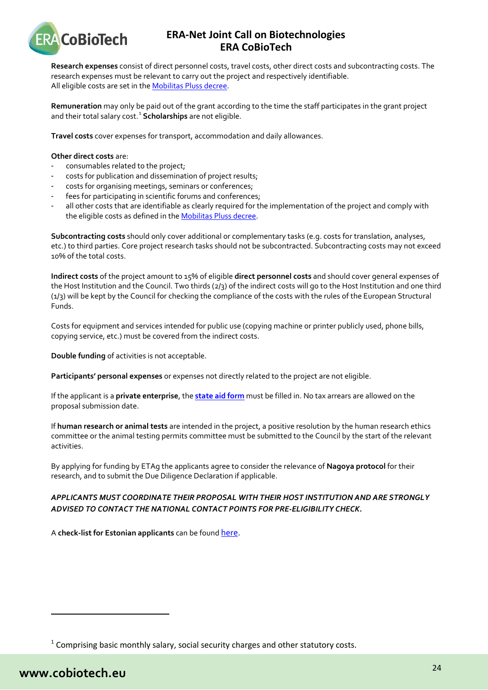

**Research expenses** consist of direct personnel costs, travel costs, other direct costs and subcontracting costs. The research expenses must be relevant to carry out the project and respectively identifiable. All eligible costs are set in th[e Mobilitas Pluss decree.](http://www.etag.ee/wp-content/uploads/2016/01/Mobilitas-Pluss-Lisa-1.pdf)

**Remuneration** may only be paid out of the grant according to the time the staff participates in the grant project and their total salary cost.<sup>[1](#page-23-0)</sup> Scholarships are not eligible.

**Travel costs** cover expenses for transport, accommodation and daily allowances.

#### **Other direct costs** are:

- consumables related to the project;
- costs for publication and dissemination of project results;
- costs for organising meetings, seminars or conferences;
- fees for participating in scientific forums and conferences:
- all other costs that are identifiable as clearly required for the implementation of the project and comply with the eligible costs as defined in th[e Mobilitas Pluss decree.](http://www.etag.ee/wp-content/uploads/2016/01/Mobilitas-Pluss-Lisa-1.pdf)

**Subcontracting costs** should only cover additional or complementary tasks (e.g. costs for translation, analyses, etc.) to third parties. Core project research tasks should not be subcontracted. Subcontracting costs may not exceed 10% of the total costs.

**Indirect costs** of the project amount to 15% of eligible **direct personnel costs** and should cover general expenses of the Host Institution and the Council. Two thirds (2/3) of the indirect costs will go to the Host Institution and one third (1/3) will be kept by the Council for checking the compliance of the costs with the rules of the European Structural Funds.

Costs for equipment and services intended for public use (copying machine or printer publicly used, phone bills, copying service, etc.) must be covered from the indirect costs.

**Double funding** of activities is not acceptable.

**Participants' personal expenses** or expenses not directly related to the project are not eligible.

If the applicant is a **private enterprise**, the **state [aid form](http://www.etag.ee/wp-content/uploads/2018/01/Riigiabi-vorm-ettev%C3%B5tetele.docx)** must be filled in. No tax arrears are allowed on the proposal submission date.

If **human research or animal tests** are intended in the project, a positive resolution by the human research ethics committee or the animal testing permits committee must be submitted to the Council by the start of the relevant activities.

By applying for funding by ETAg the applicants agree to consider the relevance of **Nagoya protocol** for their research, and to submit the Due Diligence Declaration if applicable.

### *APPLICANTS MUST COORDINATE THEIR PROPOSAL WITH THEIR HOST INSTITUTION AND ARE STRONGLY ADVISED TO CONTACT THE NATIONAL CONTACT POINTS FOR PRE-ELIGIBILITY CHECK***.**

A **check-list for Estonian applicants** can be found [here.](http://www.etag.ee/wp-content/uploads/2018/07/Juhend-ERA-NET-toetuse-taotlejale_ETAg-juuni-2018-1.pdf)

l

<span id="page-23-0"></span> $1$  Comprising basic monthly salary, social security charges and other statutory costs.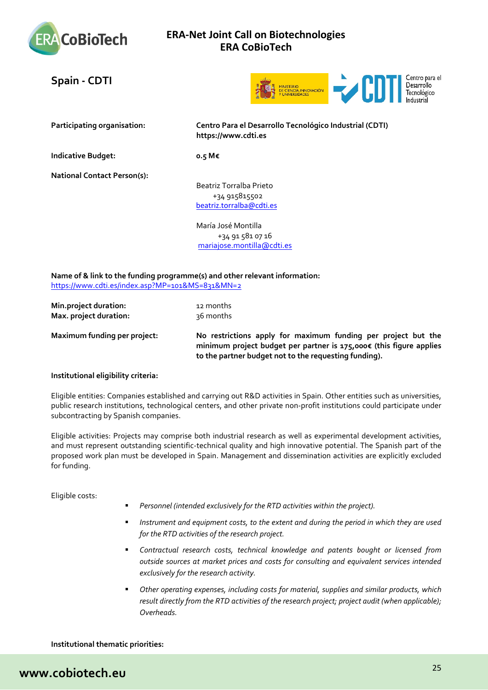

# <span id="page-24-0"></span>**Spain - CDTI**



**Participating organisation: Centro Para el Desarrollo Tecnológico Industrial (CDTI) https://www.cdti.es**

**Indicative Budget: 0.5 M€**

**National Contact Person(s):**

Beatriz Torralba Prieto +34 915815502 [beatriz.torralba@cdti.es](mailto:beatriz.torralba@cdti.es)

María José Montilla +34 91 581 07 16 [mariajose.montilla@cdti.es](mailto:mariajose.montilla@cdti.es)

**Name of & link to the funding programme(s) and other relevant information:** <https://www.cdti.es/index.asp?MP=101&MS=831&MN=2>

| Min.project duration:  | 12 months |
|------------------------|-----------|
| Max. project duration: | ३६ months |

ictions apply for maximum funding per project but the **minimum project budget per partner is 175,000€ (this figure applies to the partner budget not to the requesting funding).**

### **Institutional eligibility criteria:**

Eligible entities: Companies established and carrying out R&D activities in Spain. Other entities such as universities, public research institutions, technological centers, and other private non-profit institutions could participate under subcontracting by Spanish companies.

Eligible activities: Projects may comprise both industrial research as well as experimental development activities, and must represent outstanding scientific-technical quality and high innovative potential. The Spanish part of the proposed work plan must be developed in Spain. Management and dissemination activities are explicitly excluded for funding.

Eligible costs:

- *Personnel (intended exclusively for the RTD activities within the project).*
- *Instrument and equipment costs, to the extent and during the period in which they are used for the RTD activities of the research project.*
- *Contractual research costs, technical knowledge and patents bought or licensed from outside sources at market prices and costs for consulting and equivalent services intended exclusively for the research activity.*
- *Other operating expenses, including costs for material, supplies and similar products, which result directly from the RTD activities of the research project; project audit (when applicable); Overheads.*

**Institutional thematic priorities:**

# **www.cobiotech.eu**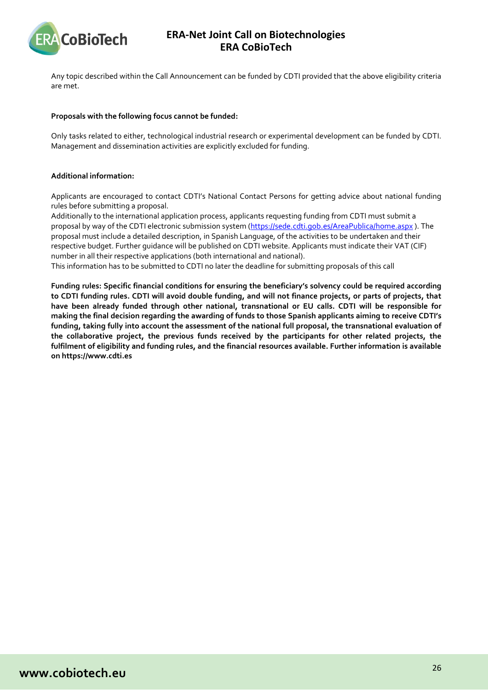

Any topic described within the Call Announcement can be funded by CDTI provided that the above eligibility criteria are met.

#### **Proposals with the following focus cannot be funded:**

Only tasks related to either, technological industrial research or experimental development can be funded by CDTI. Management and dissemination activities are explicitly excluded for funding.

### **Additional information:**

Applicants are encouraged to contact CDTI's National Contact Persons for getting advice about national funding rules before submitting a proposal.

Additionally to the international application process, applicants requesting funding from CDTI must submit a proposal by way of the CDTI electronic submission system [\(https://sede.cdti.gob.es/AreaPublica/home.aspx](https://sede.cdti.gob.es/AreaPublica/home.aspx) ). The proposal must include a detailed description, in Spanish Language, of the activities to be undertaken and their respective budget. Further guidance will be published on CDTI website. Applicants must indicate their VAT (CIF) number in all their respective applications (both international and national).

This information has to be submitted to CDTI no later the deadline for submitting proposals of this call

**Funding rules: Specific financial conditions for ensuring the beneficiary's solvency could be required according to CDTI funding rules. CDTI will avoid double funding, and will not finance projects, or parts of projects, that have been already funded through other national, transnational or EU calls. CDTI will be responsible for making the final decision regarding the awarding of funds to those Spanish applicants aiming to receive CDTI's funding, taking fully into account the assessment of the national full proposal, the transnational evaluation of the collaborative project, the previous funds received by the participants for other related projects, the fulfilment of eligibility and funding rules, and the financial resources available. Further information is available on https://www.cdti.es**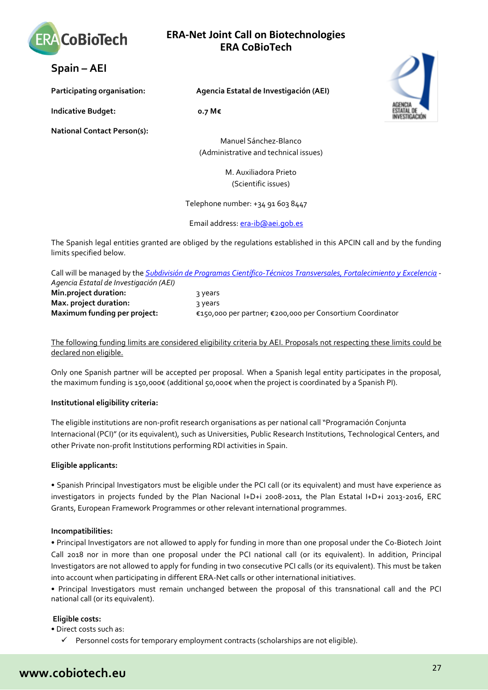

<span id="page-26-0"></span>**Spain – AEI** 

**Indicative Budget: 0.7 M€**

**National Contact Person(s):**

**Participating organisation: Agencia Estatal de Investigación (AEI)**

Manuel Sánchez-Blanco (Administrative and technical issues)

> M. Auxiliadora Prieto (Scientific issues)

Telephone number: +34 91 603 8447

Email address[: era-ib@aei.gob.es](mailto:era-ib@aei.gob.es)

The Spanish legal entities granted are obliged by the regulations established in this APCIN call and by the funding limits specified below.

|                                        | Call will be managed by the <i>Subdivisión de Programas Científico-Técnicos Transversales, Fortalecimiento y Excelencia</i> |
|----------------------------------------|-----------------------------------------------------------------------------------------------------------------------------|
| Agencia Estatal de Investigación (AEI) |                                                                                                                             |
| Min.project duration:                  | २ years                                                                                                                     |
| Max. project duration:                 | २ years                                                                                                                     |
| Maximum funding per project:           | €150,000 per partner; €200,000 per Consortium Coordinator                                                                   |

The following funding limits are considered eligibility criteria by AEI. Proposals not respecting these limits could be declared non eligible.

Only one Spanish partner will be accepted per proposal. When a Spanish legal entity participates in the proposal, the maximum funding is 150,000€ (additional 50,000€ when the project is coordinated by a Spanish PI).

### **Institutional eligibility criteria:**

The eligible institutions are non-profit research organisations as per national call "Programación Conjunta Internacional (PCI)" (or its equivalent), such as Universities, Public Research Institutions, Technological Centers, and other Private non-profit Institutions performing RDI activities in Spain.

### **Eligible applicants:**

• Spanish Principal Investigators must be eligible under the PCI call (or its equivalent) and must have experience as investigators in projects funded by the Plan Nacional I+D+i 2008-2011, the Plan Estatal I+D+i 2013-2016, ERC Grants, European Framework Programmes or other relevant international programmes.

### **Incompatibilities:**

• Principal Investigators are not allowed to apply for funding in more than one proposal under the Co-Biotech Joint Call 2018 nor in more than one proposal under the PCI national call (or its equivalent). In addition, Principal Investigators are not allowed to apply for funding in two consecutive PCI calls (or its equivalent). This must be taken into account when participating in different ERA-Net calls or other international initiatives.

• Principal Investigators must remain unchanged between the proposal of this transnational call and the PCI national call (or its equivalent).

### **Eligible costs:**

• Direct costs such as:

 $\checkmark$  Personnel costs for temporary employment contracts (scholarships are not eligible).



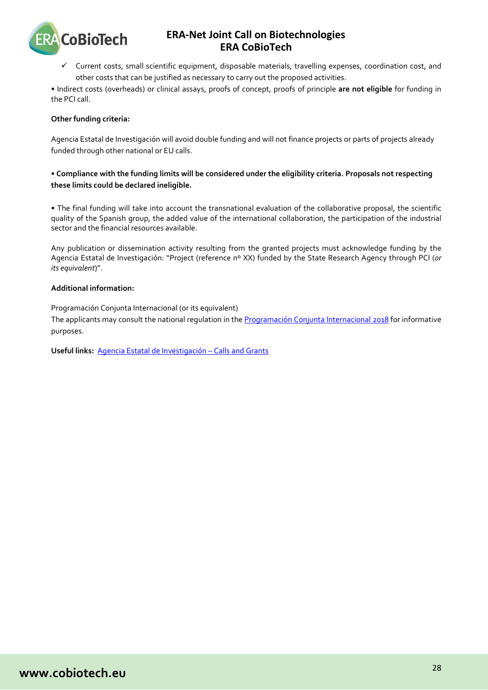

 $\checkmark$  Current costs, small scientific equipment, disposable materials, travelling expenses, coordination cost, and other costs that can be justified as necessary to carry out the proposed activities.

• Indirect costs (overheads) or clinical assays, proofs of concept, proofs of principle **are not eligible** for funding in the PCI call.

### **Other funding criteria:**

Agencia Estatal de Investigación will avoid double funding and will not finance projects or parts of projects already funded through other national or EU calls.

### **• Compliance with the funding limits will be considered under the eligibility criteria. Proposals not respecting these limits could be declared ineligible.**

• The final funding will take into account the transnational evaluation of the collaborative proposal, the scientific quality of the Spanish group, the added value of the international collaboration, the participation of the industrial sector and the financial resources available.

Any publication or dissemination activity resulting from the granted projects must acknowledge funding by the Agencia Estatal de Investigación: "Project (reference nº XX) funded by the State Research Agency through PCI (*or its equivalent*)".

### **Additional information:**

Programación Conjunta Internacional (or its equivalent)

The applicants may consult the national regulation in th[e Programación Conjunta Internacional 2018](http://www.pap.hacienda.gob.es/bdnstrans/GE/es/convocatoria/409079) for informative purposes.

**Useful links:** [Agencia Estatal de Investigación –](http://www.idi.mineco.gob.es/portal/site/MICINN/menuitem.d20caeda35a0c5dc7c68b11001432ea0/?vgnextoid=33f85656ecfee310VgnVCM1000001d04140aRCRD) Calls and Grants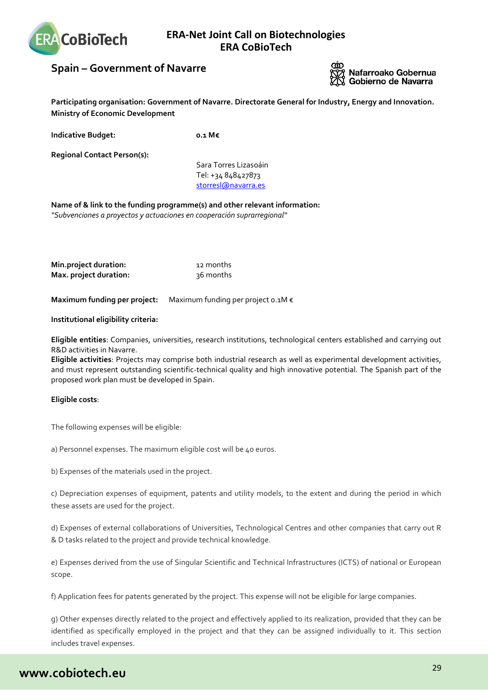

# <span id="page-28-0"></span>**Spain – Government of Navarre**



**Participating organisation: Government of Navarre. Directorate General for Industry, Energy and Innovation. Ministry of Economic Development** 

**Indicative Budget: 0.1 M€**

**Regional Contact Person(s):**

Sara Torres Lizasoáin Tel: +34 848427873 storresl@navarra.es

**Name of & link to the funding programme(s) and other relevant information:** *"Subvenciones a proyectos y actuaciones en cooperación suprarregional"*

**Min.project duration:** 12 months **Max. project duration:** 36 months

**Maximum funding per project:** Maximum funding per project 0.1M €

**Institutional eligibility criteria:**

**Eligible entities**: Companies, universities, research institutions, technological centers established and carrying out R&D activities in Navarre.

**Eligible activities**: Projects may comprise both industrial research as well as experimental development activities, and must represent outstanding scientific-technical quality and high innovative potential. The Spanish part of the proposed work plan must be developed in Spain.

### **Eligible costs**:

The following expenses will be eligible:

a) Personnel expenses. The maximum eligible cost will be 40 euros.

b) Expenses of the materials used in the project.

c) Depreciation expenses of equipment, patents and utility models, to the extent and during the period in which these assets are used for the project.

d) Expenses of external collaborations of Universities, Technological Centres and other companies that carry out R & D tasks related to the project and provide technical knowledge.

e) Expenses derived from the use of Singular Scientific and Technical Infrastructures (ICTS) of national or European scope.

f) Application fees for patents generated by the project. This expense will not be eligible for large companies.

g) Other expenses directly related to the project and effectively applied to its realization, provided that they can be identified as specifically employed in the project and that they can be assigned individually to it. This section includes travel expenses.

# **www.cobiotech.eu**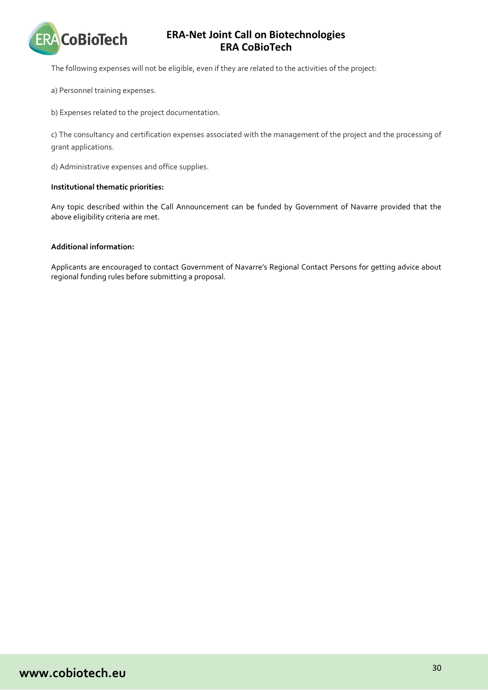

The following expenses will not be eligible, even if they are related to the activities of the project:

a) Personnel training expenses.

b) Expenses related to the project documentation.

c) The consultancy and certification expenses associated with the management of the project and the processing of grant applications.

d) Administrative expenses and office supplies.

### **Institutional thematic priorities:**

Any topic described within the Call Announcement can be funded by Government of Navarre provided that the above eligibility criteria are met.

### **Additional information:**

Applicants are encouraged to contact Government of Navarre's Regional Contact Persons for getting advice about regional funding rules before submitting a proposal.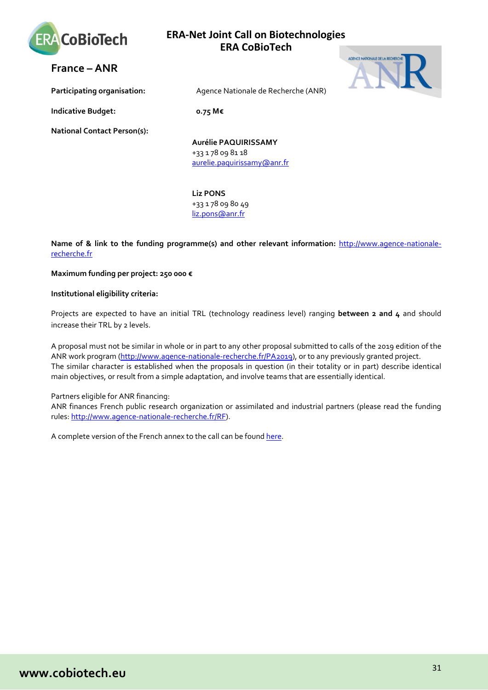

AGENCE NATIONALE DE LA RECHE

<span id="page-30-0"></span>**France – ANR** 

**Participating organisation:** Agence Nationale de Recherche (ANR)

**Indicative Budget: 0.75 M€**

**National Contact Person(s):**

**Aurélie PAQUIRISSAMY** +33 1 78 09 81 18 [aurelie.paquirissamy@anr.fr](mailto:liz.pons@anr.fr)

**Liz PONS** +33 1 78 09 80 49 [liz.pons@anr.fr](mailto:liz.pons@anr.fr)

**Name of & link to the funding programme(s) and other relevant information:** http://www.agence-nationalerecherche.fr

**Maximum funding per project: 250 000 €**

**Institutional eligibility criteria:**

Projects are expected to have an initial TRL (technology readiness level) ranging **between 2 and 4** and should increase their TRL by 2 levels.

A proposal must not be similar in whole or in part to any other proposal submitted to calls of the 2019 edition of the ANR work program [\(http://www.agence-nationale-recherche.fr/PA2019\)](http://www.agence-nationale-recherche.fr/PA2019), or to any previously granted project. The similar character is established when the proposals in question (in their totality or in part) describe identical main objectives, or result from a simple adaptation, and involve teams that are essentially identical.

Partners eligible for ANR financing:

ANR finances French public research organization or assimilated and industrial partners (please read the funding rules: [http://www.agence-nationale-recherche.fr/RF\)](http://www.agence-nationale-recherche.fr/RF).

A complete version of the French annex to the call can be found [here.](http://anr.fr/Cobiotech-2019)

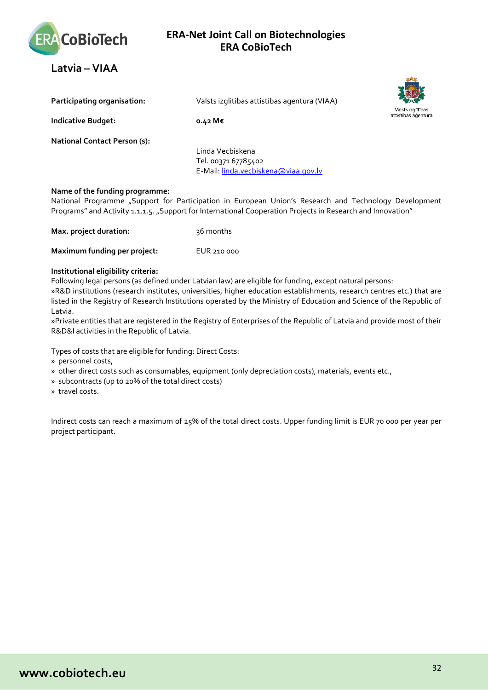

<span id="page-31-0"></span>**Latvia – VIAA** 

| Participating organisation:         | Valsts izglitibas attistibas agentura (VIAA)                                    |
|-------------------------------------|---------------------------------------------------------------------------------|
| <b>Indicative Budget:</b>           | o.42 M€                                                                         |
| <b>National Contact Person (s):</b> | Linda Vecbiskena<br>Tel. 00371 67785402<br>E-Mail: linda.vecbiskena@viaa.gov.lv |

### **Name of the funding programme:**

National Programme "Support for Participation in European Union's Research and Technology Development Programs" and Activity 1.1.1.5. "Support for International Cooperation Projects in Research and Innovation"

| Max. project duration: | 36 months |
|------------------------|-----------|
|                        |           |

**Maximum funding per project:** EUR 210 000

### **Institutional eligibility criteria:**

Following legal persons (as defined under Latvian law) are eligible for funding, except natural persons: »R&D institutions (research institutes, universities, higher education establishments, research centres etc.) that are listed in the Registry of Research Institutions operated by the Ministry of Education and Science of the Republic of Latvia.

»Private entities that are registered in the Registry of Enterprises of the Republic of Latvia and provide most of their R&D&I activities in the Republic of Latvia.

Types of costs that are eligible for funding: Direct Costs:

- » personnel costs,
- » other direct costs such as consumables, equipment (only depreciation costs), materials, events etc.,
- » subcontracts (up to 20% of the total direct costs)
- » travel costs.

Indirect costs can reach a maximum of 25% of the total direct costs. Upper funding limit is EUR 70 000 per year per project participant.

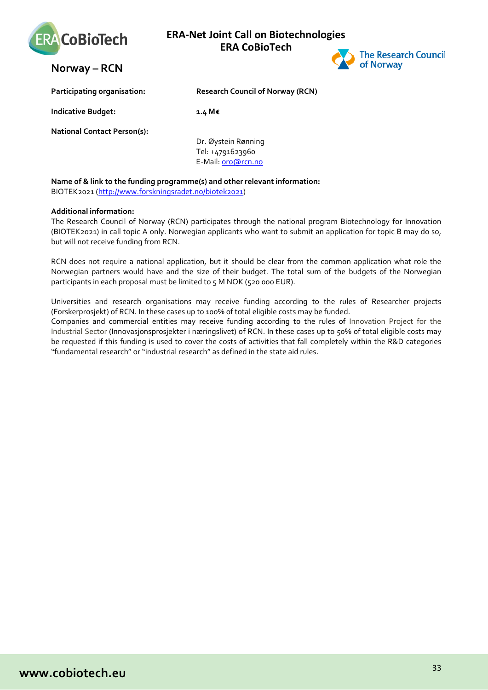

<span id="page-32-0"></span>



| Participating organisation:        | <b>Research Council of Norway (RCN)</b> |
|------------------------------------|-----------------------------------------|
| <b>Indicative Budget:</b>          | 1.4 M€                                  |
| <b>National Contact Person(s):</b> | Du <i>C</i> hatair Danaine              |

Dr. Øystein Rønning Tel: +4791623960 E-Mail[: oro@rcn.no](mailto:oro@rcn.no)

### **Name of & link to the funding programme(s) and other relevant information:**

BIOTEK2021 [\(http://www.forskningsradet.no/biotek2021\)](http://www.forskningsradet.no/biotek2021)

### **Additional information:**

The Research Council of Norway (RCN) participates through the national program Biotechnology for Innovation (BIOTEK2021) in call topic A only. Norwegian applicants who want to submit an application for topic B may do so, but will not receive funding from RCN.

RCN does not require a national application, but it should be clear from the common application what role the Norwegian partners would have and the size of their budget. The total sum of the budgets of the Norwegian participants in each proposal must be limited to 5 M NOK (520 000 EUR).

Universities and research organisations may receive funding according to the rules of Researcher projects (Forskerprosjekt) of RCN. In these cases up to 100% of total eligible costs may be funded.

Companies and commercial entities may receive funding according to the rules of Innovation Project for the Industrial Sector (Innovasjonsprosjekter i næringslivet) of RCN. In these cases up to 50% of total eligible costs may be requested if this funding is used to cover the costs of activities that fall completely within the R&D categories "fundamental research" or "industrial research" as defined in the state aid rules.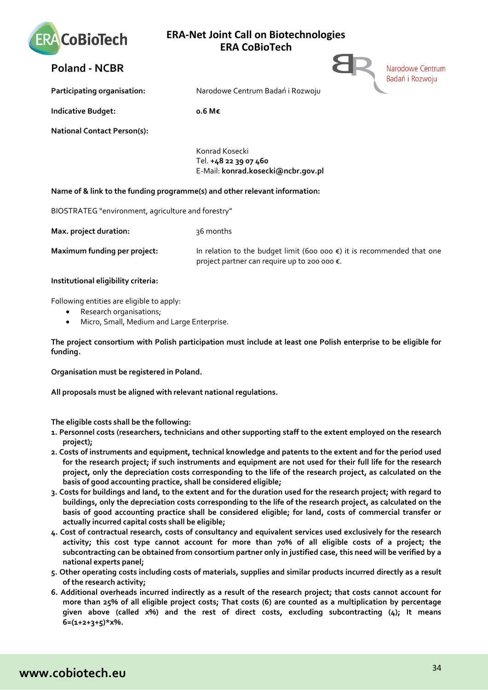

# <span id="page-33-0"></span>**Poland - NCBR**

**Participating organisation:** Narodowe Centrum Badań i Rozwoju

**Indicative Budget:** 0.6 M€

**National Contact Person(s):**

Konrad Kosecki Tel. **+48 22 39 07 460** E-Mail: **konrad.kosecki@ncbr.gov.pl**

### **Name of & link to the funding programme(s) and other relevant information:**

BIOSTRATEG "environment, agriculture and forestry"

**Max. project duration:** 36 months

**Maximum funding per project:** In relation to the budget limit (600 000 €) it is recommended that one project partner can require up to 200 000 €.

Narodowe Centrum Badań i Rozwoju

**Institutional eligibility criteria:**

Following entities are eligible to apply:

- Research organisations;
- Micro, Small, Medium and Large Enterprise.

**The project consortium with Polish participation must include at least one Polish enterprise to be eligible for funding.**

**Organisation must be registered in Poland.**

**All proposals must be aligned with relevant national regulations.** 

**The eligible costs shall be the following:**

- **1. Personnel costs (researchers, technicians and other supporting staff to the extent employed on the research project);**
- **2. Costs of instruments and equipment, technical knowledge and patents to the extent and for the period used for the research project; if such instruments and equipment are not used for their full life for the research project, only the depreciation costs corresponding to the life of the research project, as calculated on the basis of good accounting practice, shall be considered eligible;**
- **3. Costs for buildings and land, to the extent and for the duration used for the research project; with regard to buildings, only the depreciation costs corresponding to the life of the research project, as calculated on the basis of good accounting practice shall be considered eligible; for land, costs of commercial transfer or actually incurred capital costs shall be eligible;**
- **4. Cost of contractual research, costs of consultancy and equivalent services used exclusively for the research activity; this cost type cannot account for more than 70% of all eligible costs of a project; the subcontracting can be obtained from consortium partner only in justified case, this need will be verified by a national experts panel;**
- **5. Other operating costs including costs of materials, supplies and similar products incurred directly as a result of the research activity;**
- **6. Additional overheads incurred indirectly as a result of the research project; that costs cannot account for more than 25% of all eligible project costs; That costs (6) are counted as a multiplication by percentage given above (called x%) and the rest of direct costs, excluding subcontracting (4); It means 6=(1+2+3+5)\*x%.**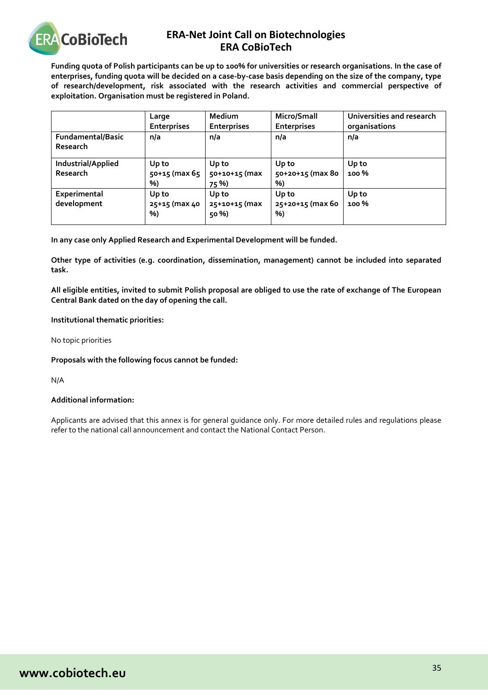

**Funding quota of Polish participants can be up to 100% for universities or research organisations. In the case of enterprises, funding quota will be decided on a case-by-case basis depending on the size of the company, type of research/development, risk associated with the research activities and commercial perspective of exploitation. Organisation must be registered in Poland.**

|                                       | Large<br><b>Enterprises</b>  | Medium<br><b>Enterprises</b>    | Micro/Small<br><b>Enterprises</b> | Universities and research<br>organisations |
|---------------------------------------|------------------------------|---------------------------------|-----------------------------------|--------------------------------------------|
| <b>Fundamental/Basic</b><br>Research  | n/a                          | n/a                             | n/a                               | n/a                                        |
| Industrial/Applied<br><b>Research</b> | Up to<br>50+15 (max 65<br>%) | Up to<br>50+10+15 (max<br>75 %) | Up to<br>50+20+15 (max 80<br>%)   | Up to<br><b>100 %</b>                      |
| Experimental<br>development           | Up to<br>25+15 (max 40<br>%) | Up to<br>25+10+15 (max<br>50 %) | Up to<br>25+20+15 (max 60<br>%)   | Up to<br><b>100%</b>                       |

**In any case only Applied Research and Experimental Development will be funded.**

**Other type of activities (e.g. coordination, dissemination, management) cannot be included into separated task.**

**All eligible entities, invited to submit Polish proposal are obliged to use the rate of exchange of The European Central Bank dated on the day of opening the call.**

### **Institutional thematic priorities:**

No topic priorities

### **Proposals with the following focus cannot be funded:**

N/A

### **Additional information:**

Applicants are advised that this annex is for general guidance only. For more detailed rules and regulations please refer to the national call announcement and contact the National Contact Person.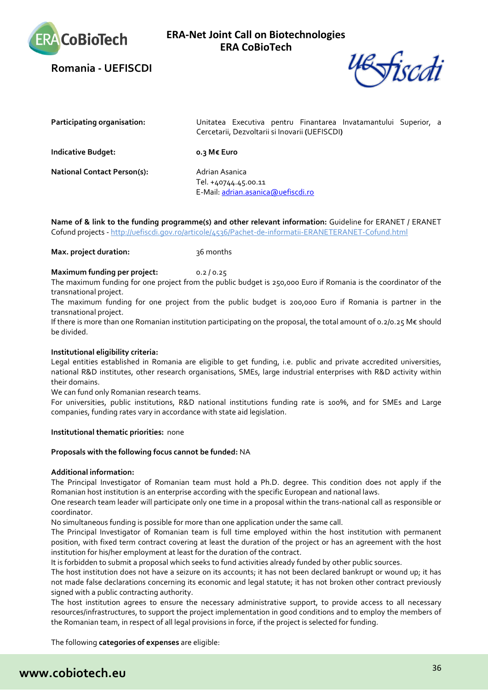

<span id="page-35-0"></span>**Romania - UEFISCDI**



| <b>Participating organisation:</b> | Unitatea Executiva pentru Finantarea Invatamantului Superior, a<br>Cercetarii, Dezvoltarii si Inovarii (UEFISCDI) |
|------------------------------------|-------------------------------------------------------------------------------------------------------------------|
| <b>Indicative Budget:</b>          | o.3 M€ Euro                                                                                                       |
| <b>National Contact Person(s):</b> | Adrian Asanica<br>Tel. +40744.45.00.11<br>E-Mail: adrian.asanica@uefiscdi.ro                                      |

**Name of & link to the funding programme(s) and other relevant information:** Guideline for ERANET / ERANET Cofund projects - <http://uefiscdi.gov.ro/articole/4536/Pachet-de-informatii-ERANETERANET-Cofund.html>

### **Max. project duration:** 36 months

#### **Maximum funding per project:** 0.2 / 0.25

The maximum funding for one project from the public budget is 250,000 Euro if Romania is the coordinator of the transnational project.

The maximum funding for one project from the public budget is 200,000 Euro if Romania is partner in the transnational project.

If there is more than one Romanian institution participating on the proposal, the total amount of 0.2/0.25 M€ should be divided.

#### **Institutional eligibility criteria:**

Legal entities established in Romania are eligible to get funding, i.e. public and private accredited universities, national R&D institutes, other research organisations, SMEs, large industrial enterprises with R&D activity within their domains.

We can fund only Romanian research teams.

For universities, public institutions, R&D national institutions funding rate is 100%, and for SMEs and Large companies, funding rates vary in accordance with state aid legislation.

#### **Institutional thematic priorities:** none

#### **Proposals with the following focus cannot be funded:** NA

#### **Additional information:**

The Principal Investigator of Romanian team must hold a Ph.D. degree. This condition does not apply if the Romanian host institution is an enterprise according with the specific European and national laws.

One research team leader will participate only one time in a proposal within the trans-national call as responsible or coordinator.

No simultaneous funding is possible for more than one application under the same call.

The Principal Investigator of Romanian team is full time employed within the host institution with permanent position, with fixed term contract covering at least the duration of the project or has an agreement with the host institution for his/her employment at least for the duration of the contract.

It is forbidden to submit a proposal which seeks to fund activities already funded by other public sources.

The host institution does not have a seizure on its accounts; it has not been declared bankrupt or wound up; it has not made false declarations concerning its economic and legal statute; it has not broken other contract previously signed with a public contracting authority.

The host institution agrees to ensure the necessary administrative support, to provide access to all necessary resources/infrastructures, to support the project implementation in good conditions and to employ the members of the Romanian team, in respect of all legal provisions in force, if the project is selected for funding.

The following **categories of expenses** are eligible:

# **www.cobiotech.eu**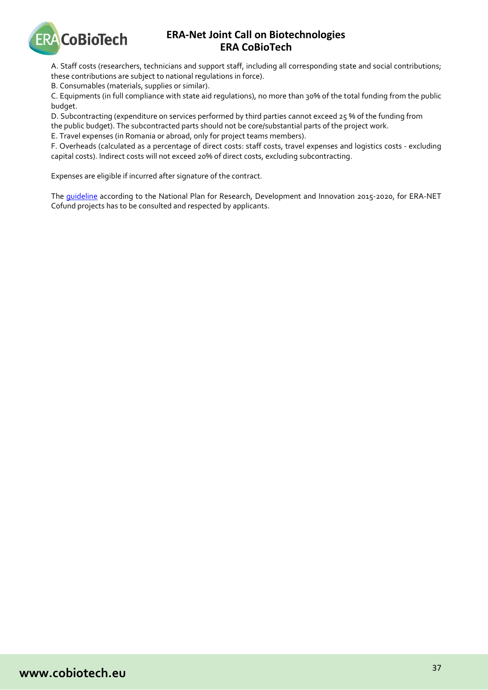

A. Staff costs (researchers, technicians and support staff, including all corresponding state and social contributions; these contributions are subject to national regulations in force).

B. Consumables (materials, supplies or similar).

C. Equipments (in full compliance with state aid regulations), no more than 30% of the total funding from the public budget.

D. Subcontracting (expenditure on services performed by third parties cannot exceed 25 % of the funding from

the public budget). The subcontracted parts should not be core/substantial parts of the project work.

E. Travel expenses (in Romania or abroad, only for project teams members).

F. Overheads (calculated as a percentage of direct costs: staff costs, travel expenses and logistics costs - excluding capital costs). Indirect costs will not exceed 20% of direct costs, excluding subcontracting.

Expenses are eligible if incurred after signature of the contract.

The [guideline](https://uefiscdi.ro/articole/4536/Pachet-de-informatii-ERANETERANET-Cofund.html) according to the National Plan for Research, Development and Innovation 2015-2020, for ERA-NET Cofund projects has to be consulted and respected by applicants.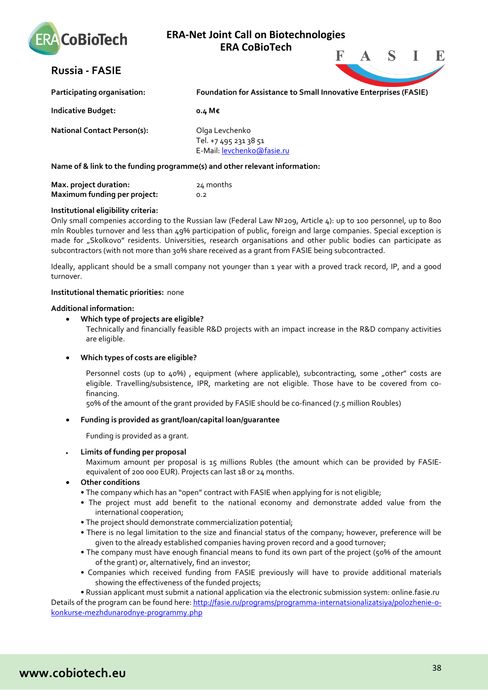

# <span id="page-37-0"></span>**Russia - FASIE**



| Participating organisation:                                                | <b>Foundation for Assistance to Small Innovative Enterprises (FASIE)</b> |  |  |
|----------------------------------------------------------------------------|--------------------------------------------------------------------------|--|--|
| <b>Indicative Budget:</b>                                                  | o.4 M€                                                                   |  |  |
| <b>National Contact Person(s):</b>                                         | Olga Levchenko<br>Tel. +7 495 231 38 51<br>E-Mail: levchenko@fasie.ru    |  |  |
| Name of & link to the funding programme(s) and other relevant information: |                                                                          |  |  |

| Max. project duration:       | 24 months |
|------------------------------|-----------|
| Maximum funding per project: | 0.2       |

### **Institutional eligibility criteria:**

Only small compenies according to the Russian law (Federal Law №209, Article 4): up to 100 personnel, up to 800 mln Roubles turnover and less than 49% participation of public, foreign and large companies. Special exception is made for "Skolkovo" residents. Universities, research organisations and other public bodies can participate as subcontractors (with not more than 30% share received as a grant from FASIE being subcontracted.

Ideally, applicant should be a small company not younger than 1 year with a proved track record, IP, and a good turnover.

### **Institutional thematic priorities:** none

### **Additional information:**

• **Which type of projects are eligible?** 

Technically and financially feasible R&D projects with an impact increase in the R&D company activities are eligible.

### • **Which types of costs are eligible?**

Personnel costs (up to 40%), equipment (where applicable), subcontracting, some "other" costs are eligible. Travelling/subsistence, IPR, marketing are not eligible. Those have to be covered from cofinancing.

50% of the amount of the grant provided by FASIE should be co-financed (7.5 million Roubles)

### • **Funding is provided as grant/loan/capital loan/guarantee**

Funding is provided as a grant.

• **Limits of funding per proposal** 

Maximum amount per proposal is 15 millions Rubles (the amount which can be provided by FASIEequivalent of 200 000 EUR). Projects can last 18 or 24 months.

- **Other conditions**
	- The company which has an "open" contract with FASIE when applying for is not eligible;
	- The project must add benefit to the national economy and demonstrate added value from the international cooperation;
	- The project should demonstrate commercialization potential;
	- There is no legal limitation to the size and financial status of the company; however, preference will be given to the already established companies having proven record and a good turnover;
	- The company must have enough financial means to fund its own part of the project (50% of the amount of the grant) or, alternatively, find an investor;
	- Companies which received funding from FASIE previously will have to provide additional materials showing the effectiveness of the funded projects;

• Russian applicant must submit a national application via the electronic submission system: online.fasie.ru Details of the program can be found here: [http://fasie.ru/programs/programma-internatsionalizatsiya/polozhenie-o](http://fasie.ru/programs/programma-internatsionalizatsiya/polozhenie-o-konkurse-mezhdunarodnye-programmy.php)[konkurse-mezhdunarodnye-programmy.php](http://fasie.ru/programs/programma-internatsionalizatsiya/polozhenie-o-konkurse-mezhdunarodnye-programmy.php)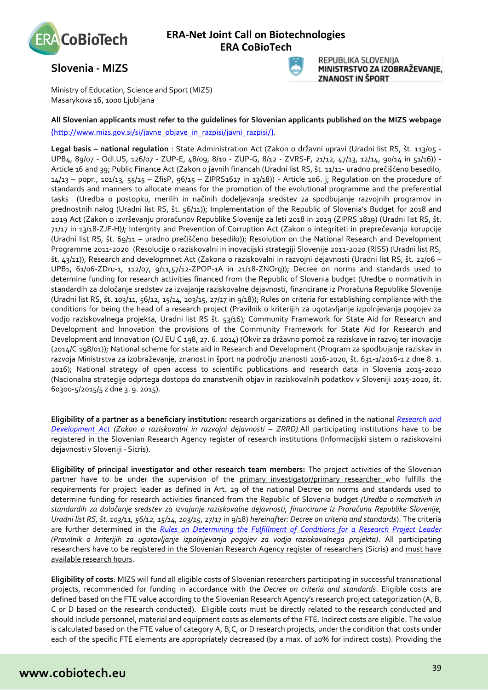

# <span id="page-38-0"></span>**Slovenia - MIZS**



REPUBLIKA SLOVENIJA MINISTRSTVO ZA IZOBRAŽEVANIE. ZNANOST IN ŠPORT

Ministry of Education, Science and Sport (MIZS) Masarykova 16, 1000 Ljubljana

### **All Slovenian applicants must refer to the guidelines for Slovenian applicants published on the MIZS webpage** [\(http://www.mizs.gov.si/si/javne\\_objave\\_in\\_razpisi/javni\\_razpisi/\)](http://www.mizks.gov.si/si/javne_objave_in_razpisi/javni_razpisi/).

**Legal basis – national regulation** : State Administration Act (Zakon o državni upravi (Uradni list RS, št. 113/05 - UPB4, 89/07 - Odl.US, 126/07 - ZUP-E, 48/09, 8/10 - ZUP-G, 8/12 - ZVRS-F, 21/12, 47/13, 12/14, 90/14 in 51/16)) - Article 16 and 39; Public Finance Act (Zakon o javnih financah (Uradni list RS, št. 11/11- uradno prečiščeno besedilo,  $14/13$  – popr.,  $101/13$ ,  $55/15$  – ZfisP,  $96/15$  – ZIPRS1617 in  $13/18$ ) - Article 106. j; Regulation on the procedure of standards and manners to allocate means for the promotion of the evolutional programme and the preferential tasks (Uredba o postopku, merilih in načinih dodeljevanja sredstev za spodbujanje razvojnih programov in prednostnih nalog (Uradni list RS, št. 56/11)); Implementation of the Republic of Slovenia's Budget for 2018 and 2019 Act (Zakon o izvrševanju proračunov Republike Slovenije za leti 2018 in 2019 (ZIPRS 1819) (Uradni list RS, št. 71/17 in 13/18-ZJF-H)*);* Intergrity and Prevention of Corruption Act (Zakon o integriteti in preprečevanju korupcije (Uradni list RS, št. 69/11 – uradno prečiščeno besedilo)); Resolution on the National Research and Development Programme 2011-2020 (Resolucije o raziskovalni in inovacijski strategiji Slovenije 2011-2020 (RISS) (Uradni list RS, št. 43/11)), Research and developmnet Act (Zakona o raziskovalni in razvojni dejavnosti (Uradni list RS, št. 22/06 – UPB1, 61/06-ZDru-1, 112/07, 9/11,57/12-ZPOP-1A in 21/18-ZNOrg)); Decree on norms and standards used to determine funding for research activities financed from the Republic of Slovenia budget (Uredbe o normativih in standardih za določanje sredstev za izvajanje raziskovalne dejavnosti, financirane iz Proračuna Republike Slovenije (Uradni list RS, št. 103/11, 56/12, 15/14, 103/15, 27/17 in 9/18)); Rules on criteria for establishing compliance with the conditions for being the head of a research project (Pravilnik o kriterijih za ugotavljanje izpolnjevanja pogojev za vodjo raziskovalnega projekta, Uradni list RS št. 53/16); Community Framework for State Aid for Research and Development and Innovation the provisions of the Community Framework for State Aid for Research and Development and Innovation (OJ EU C 198, 27. 6. 2014) (Okvir za državno pomoč za raziskave in razvoj ter inovacije (2014/C 198/01)); National scheme for state aid in Research and Development (Program za spodbujanje raziskav in razvoja Ministrstva za izobraževanje, znanost in šport na področju znanosti 2016-2020, št. 631-1/2016-1 z dne 8. 1. 2016); National strategy of open access to scientific publications and research data in Slovenia 2015-2020 (Nacionalna strategije odprtega dostopa do znanstvenih objav in raziskovalnih podatkov v Sloveniji 2015-2020, št. 60300-5/2015/5 z dne 3. 9. 2015).

**Eligibility of a partner as a beneficiary institution:** research organizations as defined in the national *[Research and](http://www.pisrs.si/Pis.web/pregledPredpisa?id=ZAKO3387)  [Development Act](http://www.pisrs.si/Pis.web/pregledPredpisa?id=ZAKO3387) (Zakon o raziskovalni in razvojni dejavnosti – ZRRD).*All participating institutions have to be registered in the Slovenian Research Agency register of research institutions (Informacijski sistem o raziskovalni dejavnosti v Sloveniji - Sicris).

**Eligibility of principal investigator and other research team members:** The project activities of the Slovenian partner have to be under the supervision of the primary investigator/primary researcher who fulfills the requirements for project leader as defined in Art. 29 of the national Decree on norms and standards used to determine funding for research activities financed from the Republic of Slovenia budget *(Uredba o normativih in standardih za določanje sredstev za izvajanje raziskovalne dejavnosti, financirane iz Proračuna Republike Slovenije, Uradni list RS, št. 103/11, 56/12, 15/14, 103/15*, 27/17 in 9/18) *hereinafter*: *Decree on criteria and standards*). The criteria are further determined in the *[Rules on Determining the Fulfillment of Conditions for a Research Project Leader](http://www.pisrs.si/Pis.web/pregledPredpisa?id=PRAV12558) (Pravilnik o kriterijih za ugotavljanje izpolnjevanja pogojev za vodjo raziskovalnega projekta)*. All participating researchers have to be registered in the Slovenian Research Agency register of researchers (Sicris) and must have available research hours.

**Eligibility of costs**: MIZS will fund all eligible costs of Slovenian researchers participating in successful transnational projects, recommended for funding in accordance with the *Decree on criteria and standards*. Eligible costs are defined based on the FTE value according to the Slovenian Research Agency's research project categorization (A, B, C or D based on the research conducted). Eligible costs must be directly related to the research conducted and should include personnel, material and equipment costs as elements of the FTE. Indirect costs are eligible. The value is calculated based on the FTE value of category A, B,C, or D research projects, under the condition that costs under each of the specific FTE elements are appropriately decreased (by a max. of 20% for indirect costs). Providing the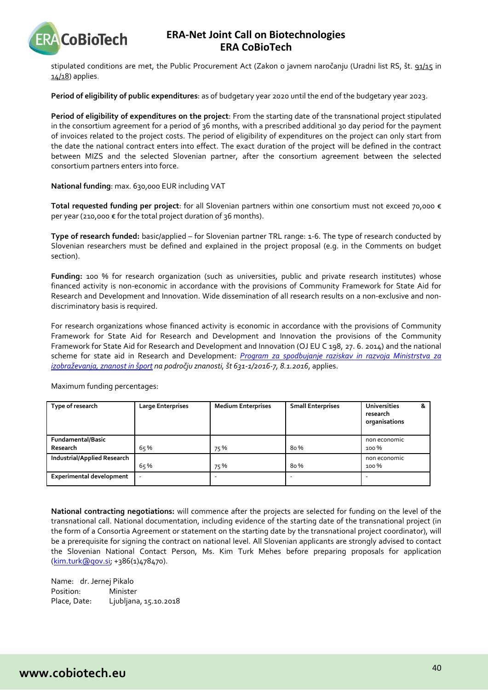

stipulated conditions are met, the Public Procurement Act (Zakon o javnem naročanju (Uradni list RS, št. [91/15](http://www.uradni-list.si/1/objava.jsp?sop=2015-01-3570) in  $14/18$ ) applies.

**Period of eligibility of public expenditures**: as of budgetary year 2020 until the end of the budgetary year 2023.

**Period of eligibility of expenditures on the project**: From the starting date of the transnational project stipulated in the consortium agreement for a period of 36 months, with a prescribed additional 30 day period for the payment of invoices related to the project costs. The period of eligibility of expenditures on the project can only start from the date the national contract enters into effect. The exact duration of the project will be defined in the contract between MIZS and the selected Slovenian partner, after the consortium agreement between the selected consortium partners enters into force.

**National funding**: max. 630,000 EUR including VAT

**Total requested funding per project**: for all Slovenian partners within one consortium must not exceed 70,000 € per year (210,000 € for the total project duration of 36 months).

**Type of research funded:** basic/applied – for Slovenian partner TRL range: 1-6. The type of research conducted by Slovenian researchers must be defined and explained in the project proposal (e.g. in the Comments on budget section).

**Funding:** 100 % for research organization (such as universities, public and private research institutes) whose financed activity is non-economic in accordance with the provisions of Community Framework for State Aid for Research and Development and Innovation. Wide dissemination of all research results on a non-exclusive and nondiscriminatory basis is required.

For research organizations whose financed activity is economic in accordance with the provisions of Community Framework for State Aid for Research and Development and Innovation the provisions of the Community Framework for State Aid for Research and Development and Innovation (OJ EU C 198, 27. 6. 2014) and the national scheme for state aid in Research and Development: *[Program za spodbujanje raziskav in razvoja Ministrstva za](http://www.mizs.gov.si/fileadmin/mizs.gov.si/pageuploads/Znanost/doc/Strategije/Program_za_spodbujanje_raziskav_in_razvoja_Urejena_koncna_verzija_Final_21.1.2016.pdf)  [izobraževanja, znanost in šport](http://www.mizs.gov.si/fileadmin/mizs.gov.si/pageuploads/Znanost/doc/Strategije/Program_za_spodbujanje_raziskav_in_razvoja_Urejena_koncna_verzija_Final_21.1.2016.pdf) na področju znanosti, št 631-1/2016-7, 8.1.2016*, applies.

| Type of research                   | <b>Large Enterprises</b> | <b>Medium Enterprises</b> | <b>Small Enterprises</b> | <b>Universities</b><br>&<br>research<br>organisations |
|------------------------------------|--------------------------|---------------------------|--------------------------|-------------------------------------------------------|
| Fundamental/Basic                  |                          |                           |                          | non economic                                          |
| Research                           | 65%                      | 75%                       | 80%                      | 100 %                                                 |
| <b>Industrial/Applied Research</b> |                          |                           |                          | non economic                                          |
|                                    | 65%                      | 75%                       | 80%                      | 100 %                                                 |
| <b>Experimental development</b>    | ٠                        |                           |                          |                                                       |

Maximum funding percentages:

**National contracting negotiations:** will commence after the projects are selected for funding on the level of the transnational call. National documentation, including evidence of the starting date of the transnational project (in the form of a Consortia Agreement or statement on the starting date by the transnational project coordinator), will be a prerequisite for signing the contract on national level. All Slovenian applicants are strongly advised to contact the Slovenian National Contact Person, Ms. Kim Turk Mehes before preparing proposals for application [\(kim.turk@gov.si;](mailto:kim.turk@gov.si) +386(1)478470).

Name: dr. Jernej Pikalo Position: Minister Place, Date: Ljubljana, 15.10.2018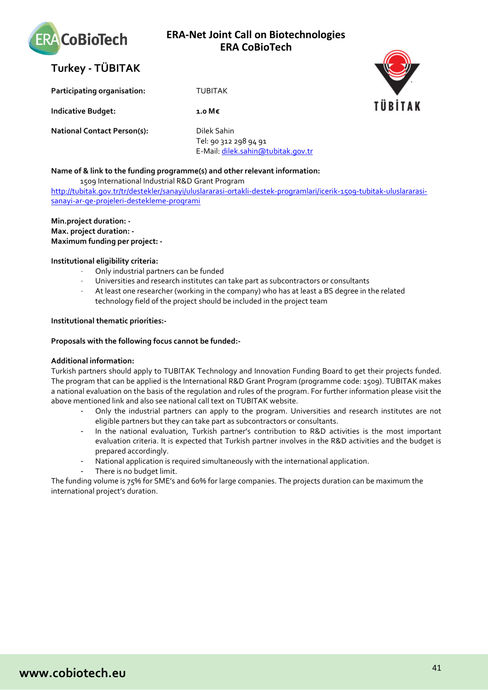

<span id="page-40-0"></span>

**Participating organisation:** TUBITAK

**Indicative Budget:** 1.0 M€

**National Contact Person(s):** Dilek Sahin

Tel: 90 312 298 94 91 E-Mail[: dilek.sahin@tubitak.gov.tr](mailto:dilek.sahin@tubitak.gov.tr)

### **Name of & link to the funding programme(s) and other relevant information:**

1509 International Industrial R&D Grant Program http://tubitak.gov.tr/tr/destekler/sanayi/uluslararasi-ortakli-destek-programlari/icerik-1509-tubitak-uluslararasisanayi-ar-ge-projeleri-destekleme-programi

**Min.project duration: - Max. project duration: - Maximum funding per project: -**

### **Institutional eligibility criteria:**

- Only industrial partners can be funded
- Universities and research institutes can take part as subcontractors or consultants
- At least one researcher (working in the company) who has at least a BS degree in the related technology field of the project should be included in the project team

### **Institutional thematic priorities:-**

### **Proposals with the following focus cannot be funded:-**

### **Additional information:**

Turkish partners should apply to TUBITAK Technology and Innovation Funding Board to get their projects funded. The program that can be applied is the International R&D Grant Program (programme code: 1509). TUBITAK makes a national evaluation on the basis of the regulation and rules of the program. For further information please visit the above mentioned link and also see national call text on TUBITAK website.

- Only the industrial partners can apply to the program. Universities and research institutes are not eligible partners but they can take part as subcontractors or consultants.
- In the national evaluation, Turkish partner's contribution to R&D activities is the most important evaluation criteria. It is expected that Turkish partner involves in the R&D activities and the budget is prepared accordingly.
- National application is required simultaneously with the international application.
- There is no budget limit.

The funding volume is 75% for SME's and 60% for large companies. The projects duration can be maximum the international project's duration.





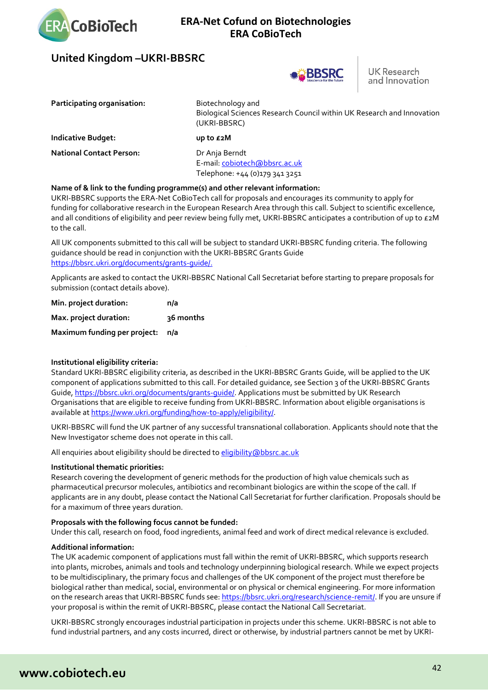

# <span id="page-41-0"></span>**United Kingdom –UKRI-BBSRC**



**UK Research** and Innovation

| Participating organisation:     | Biotechnology and<br>Biological Sciences Research Council within UK Research and Innovation<br>(UKRI-BBSRC) |
|---------------------------------|-------------------------------------------------------------------------------------------------------------|
| <b>Indicative Budget:</b>       | up to £2M                                                                                                   |
| <b>National Contact Person:</b> | Dr Anja Berndt<br>E-mail: cobiotech@bbsrc.ac.uk<br>Telephone: +44 (0)179 341 3251                           |

### **Name of & link to the funding programme(s) and other relevant information:**

UKRI-BBSRC supports the ERA-Net CoBioTech call for proposals and encourages its community to apply for funding for collaborative research in the European Research Area through this call. Subject to scientific excellence, and all conditions of eligibility and peer review being fully met, UKRI-BBSRC anticipates a contribution of up to  $\epsilon_2$ M to the call.

All UK components submitted to this call will be subject to standard UKRI-BBSRC funding criteria. The following guidance should be read in conjunction with the UKRI-BBSRC Grants Guide [https://bbsrc.ukri.org/documents/grants-guide/.](https://bbsrc.ukri.org/documents/grants-guide/)

Applicants are asked to contact the UKRI-BBSRC National Call Secretariat before starting to prepare proposals for submission (contact details above).

| Min. project duration:       | n/a       |
|------------------------------|-----------|
| Max. project duration:       | ३६ months |
| Maximum funding per project: | n/a       |

### **Institutional eligibility criteria:**

Standard UKRI-BBSRC eligibility criteria, as described in the UKRI-BBSRC Grants Guide, will be applied to the UK component of applications submitted to this call. For detailed guidance, see Section 3 of the UKRI-BBSRC Grants Guide, https://bbsrc.ukri.org/documents/grants-guide/. Applications must be submitted by UK Research Organisations that are eligible to receive funding from UKRI-BBSRC. Information about eligible organisations is available at https://www.ukri.org/funding/how-to-apply/eligibility/.

UKRI-BBSRC will fund the UK partner of any successful transnational collaboration. Applicants should note that the New Investigator scheme does not operate in this call.

All enquiries about eligibility should be directed to [eligibility@bbsrc.ac.uk](mailto:eligibility@bbsrc.ac.uk)

#### **Institutional thematic priorities:**

Research covering the development of generic methods for the production of high value chemicals such as pharmaceutical precursor molecules, antibiotics and recombinant biologics are within the scope of the call. If applicants are in any doubt, please contact the National Call Secretariat for further clarification. Proposals should be for a maximum of three years duration.

#### **Proposals with the following focus cannot be funded:**

Under this call, research on food, food ingredients, animal feed and work of direct medical relevance is excluded.

#### **Additional information:**

The UK academic component of applications must fall within the remit of UKRI-BBSRC, which supports research into plants, microbes, animals and tools and technology underpinning biological research. While we expect projects to be multidisciplinary, the primary focus and challenges of the UK component of the project must therefore be biological rather than medical, social, environmental or on physical or chemical engineering. For more information on the research areas that UKRI-BBSRC funds see: https://bbsrc.ukri.org/research/science-remit/. If you are unsure if your proposal is within the remit of UKRI-BBSRC, please contact the National Call Secretariat.

UKRI-BBSRC strongly encourages industrial participation in projects under this scheme. UKRI-BBSRC is not able to fund industrial partners, and any costs incurred, direct or otherwise, by industrial partners cannot be met by UKRI-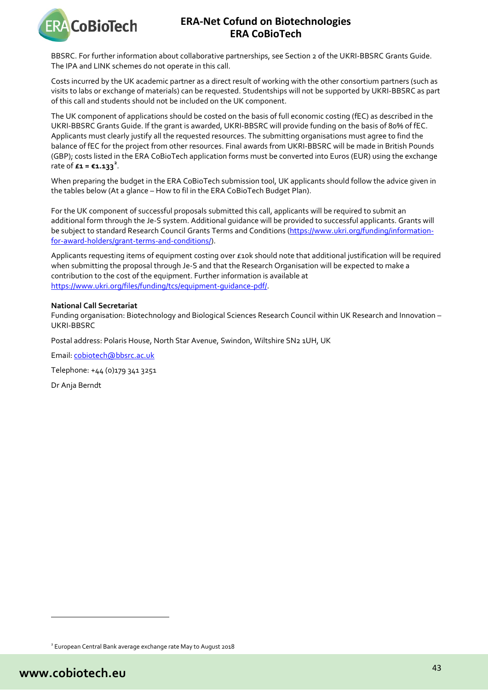

BBSRC. For further information about collaborative partnerships, see Section 2 of the UKRI-BBSRC Grants Guide. The IPA and LINK schemes do not operate in this call.

Costs incurred by the UK academic partner as a direct result of working with the other consortium partners (such as visits to labs or exchange of materials) can be requested. Studentships will not be supported by UKRI-BBSRC as part of this call and students should not be included on the UK component.

The UK component of applications should be costed on the basis of full economic costing (fEC) as described in the UKRI-BBSRC Grants Guide. If the grant is awarded, UKRI-BBSRC will provide funding on the basis of 80% of fEC. Applicants must clearly justify all the requested resources. The submitting organisations must agree to find the balance of fEC for the project from other resources. Final awards from UKRI-BBSRC will be made in British Pounds (GBP); costs listed in the ERA CoBioTech application forms must be converted into Euros (EUR) using the exchange rate of  $£1 = €1.133^2$  $£1 = €1.133^2$ .

When preparing the budget in the ERA CoBioTech submission tool, UK applicants should follow the advice given in the tables below (At a glance – How to fil in the ERA CoBioTech Budget Plan).

For the UK component of successful proposals submitted this call, applicants will be required to submit an additional form through the Je-S system. Additional guidance will be provided to successful applicants. Grants will be subject to standard Research Council Grants Terms and Conditions [\(https://www.ukri.org/funding/information](https://www.ukri.org/funding/information-for-award-holders/grant-terms-and-conditions/)[for-award-holders/grant-terms-and-conditions/\)](https://www.ukri.org/funding/information-for-award-holders/grant-terms-and-conditions/).

Applicants requesting items of equipment costing over £10k should note that additional justification will be required when submitting the proposal through Je-S and that the Research Organisation will be expected to make a contribution to the cost of the equipment. Further information is available at https://www.ukri.org/files/funding/tcs/equipment-guidance-pdf/.

### **National Call Secretariat**

Funding organisation: Biotechnology and Biological Sciences Research Council within UK Research and Innovation – UKRI-BBSRC

Postal address: Polaris House, North Star Avenue, Swindon, Wiltshire SN2 1UH, UK

Email[: cobiotech@bbsrc.ac.uk](mailto:cobiotech@bbsrc.ac.uk)

Telephone: +44 (0)179 341 3251

Dr Anja Berndt

l

<span id="page-42-0"></span><sup>2</sup> European Central Bank average exchange rate May to August 2018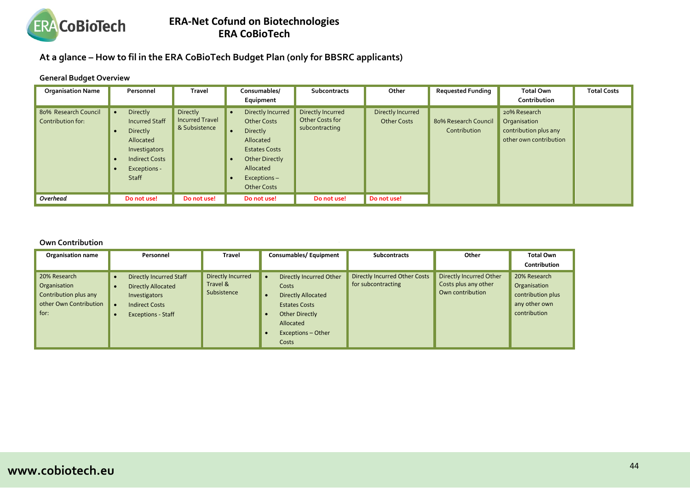

**At a glance – How to fil in the ERA CoBioTech Budget Plan (only for BBSRC applicants)**

### **General Budget Overview**

| <b>Organisation Name</b>                  | Personnel                                                                                                                            | <b>Travel</b>                                       | Consumables/                                                                                                                                                 | <b>Subcontracts</b>                                    | Other                                   | <b>Requested Funding</b>             | <b>Total Own</b>                                                                | <b>Total Costs</b> |
|-------------------------------------------|--------------------------------------------------------------------------------------------------------------------------------------|-----------------------------------------------------|--------------------------------------------------------------------------------------------------------------------------------------------------------------|--------------------------------------------------------|-----------------------------------------|--------------------------------------|---------------------------------------------------------------------------------|--------------------|
|                                           |                                                                                                                                      |                                                     | Equipment                                                                                                                                                    |                                                        |                                         |                                      | Contribution                                                                    |                    |
| 80% Research Council<br>Contribution for: | Directly<br><b>Incurred Staff</b><br>Directly<br>Allocated<br>Investigators<br><b>Indirect Costs</b><br>Exceptions -<br><b>Staff</b> | Directly<br><b>Incurred Travel</b><br>& Subsistence | Directly Incurred<br><b>Other Costs</b><br>Directly<br>Allocated<br><b>Estates Costs</b><br>Other Directly<br>Allocated<br>Exceptions-<br><b>Other Costs</b> | Directly Incurred<br>Other Costs for<br>subcontracting | Directly Incurred<br><b>Other Costs</b> | 80% Research Council<br>Contribution | 20% Research<br>Organisation<br>contribution plus any<br>other own contribution |                    |
| Overhead                                  | Do not use!                                                                                                                          | Do not use!                                         | Do not use!                                                                                                                                                  | Do not use!                                            | Do not use!                             |                                      |                                                                                 |                    |

### **Own Contribution**

| <b>Organisation name</b>                                                                | Personnel                                                                                                                          | <b>Travel</b>                                | Consumables/Equipment                                                                                                                                            | <b>Subcontracts</b>                                        | Other                                                               | <b>Total Own</b><br>Contribution                                                   |
|-----------------------------------------------------------------------------------------|------------------------------------------------------------------------------------------------------------------------------------|----------------------------------------------|------------------------------------------------------------------------------------------------------------------------------------------------------------------|------------------------------------------------------------|---------------------------------------------------------------------|------------------------------------------------------------------------------------|
| 20% Research<br>Organisation<br>Contribution plus any<br>other Own Contribution<br>for: | <b>Directly Incurred Staff</b><br><b>Directly Allocated</b><br>Investigators<br><b>Indirect Costs</b><br><b>Exceptions - Staff</b> | Directly Incurred<br>Travel &<br>Subsistence | Directly Incurred Other<br>$\bullet$<br>Costs<br><b>Directly Allocated</b><br><b>Estates Costs</b><br>Other Directly<br>Allocated<br>Exceptions - Other<br>Costs | <b>Directly Incurred Other Costs</b><br>for subcontracting | Directly Incurred Other<br>Costs plus any other<br>Own contribution | 20% Research<br>Organisation<br>contribution plus<br>any other own<br>contribution |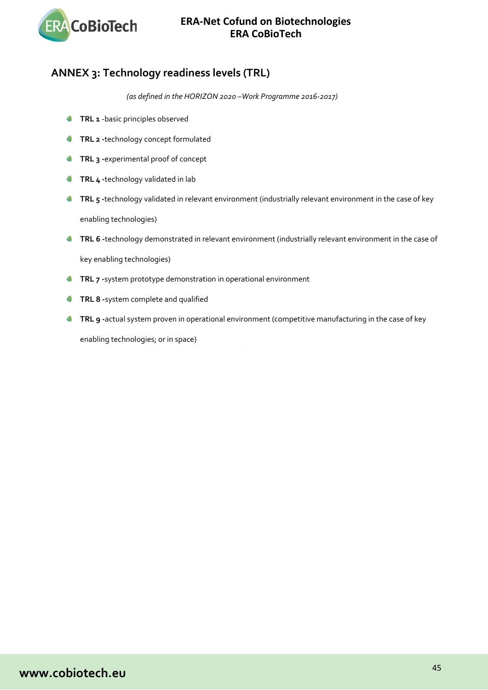

# <span id="page-44-0"></span>**ANNEX 3: Technology readiness levels (TRL)**

*(as defined in the HORIZON 2020 –Work Programme 2016-2017)*

- **TRL 1** -basic principles observed O
- O **TRL 2 -**technology concept formulated
- Ō **TRL 3 -**experimental proof of concept
- **TRL 4 -**technology validated in lab Δ
- **TRL 5** -technology validated in relevant environment (industrially relevant environment in the case of key enabling technologies)
- **TRL 6** -technology demonstrated in relevant environment (industrially relevant environment in the case of

key enabling technologies)

- **TRL 7** -system prototype demonstration in operational environment
- **TRL 8 -**system complete and qualified
- **TRL 9 -**actual system proven in operational environment (competitive manufacturing in the case of key enabling technologies; or in space)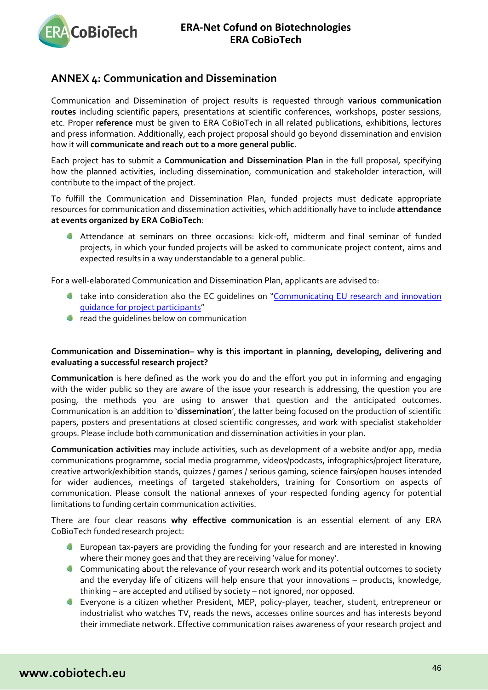

# <span id="page-45-0"></span>**ANNEX 4: Communication and Dissemination**

Communication and Dissemination of project results is requested through **various communication routes** including scientific papers, presentations at scientific conferences, workshops, poster sessions, etc. Proper **reference** must be given to ERA CoBioTech in all related publications, exhibitions, lectures and press information. Additionally, each project proposal should go beyond dissemination and envision how it will **communicate and reach out to a more general public**.

Each project has to submit a **Communication and Dissemination Plan** in the full proposal, specifying how the planned activities, including dissemination, communication and stakeholder interaction, will contribute to the impact of the project.

To fulfill the Communication and Dissemination Plan, funded projects must dedicate appropriate resources for communication and dissemination activities, which additionally have to include **attendance at events organized by ERA CoBioTech**:

Attendance at seminars on three occasions: kick-off, midterm and final seminar of funded projects, in which your funded projects will be asked to communicate project content, aims and expected results in a way understandable to a general public.

For a well-elaborated Communication and Dissemination Plan, applicants are advised to:

- take into consideration also the EC guidelines on ["Communicating EU research and innovation](http://ec.europa.eu/research/participants/data/ref/h2020/other/gm/h2020-guide-comm_en.pdf)  [guidance for project participants"](http://ec.europa.eu/research/participants/data/ref/h2020/other/gm/h2020-guide-comm_en.pdf)
- **C** read the quidelines below on communication

### Communication and Dissemination– why is this important in planning, developing, delivering and **evaluating a successful research project?**

**Communication** is here defined as the work you do and the effort you put in informing and engaging with the wider public so they are aware of the issue your research is addressing, the question you are posing, the methods you are using to answer that question and the anticipated outcomes. Communication is an addition to '**dissemination**', the latter being focused on the production of scientific papers, posters and presentations at closed scientific congresses, and work with specialist stakeholder groups. Please include both communication and dissemination activities in your plan.

**Communication activities** may include activities, such as development of a website and/or app, media communications programme, social media programme, videos/podcasts, infographics/project literature, creative artwork/exhibition stands, quizzes / games / serious gaming, science fairs/open houses intended for wider audiences, meetings of targeted stakeholders, training for Consortium on aspects of communication. Please consult the national annexes of your respected funding agency for potential limitations to funding certain communication activities.

There are four clear reasons **why effective communication** is an essential element of any ERA CoBioTech funded research project:

- **European tax-payers are providing the funding for your research and are interested in knowing** where their money goes and that they are receiving 'value for money'.
- **Communicating about the relevance of your research work and its potential outcomes to society** and the everyday life of citizens will help ensure that your innovations – products, knowledge, thinking – are accepted and utilised by society – not ignored, nor opposed.
- Everyone is a citizen whether President, MEP, policy-player, teacher, student, entrepreneur or industrialist who watches TV, reads the news, accesses online sources and has interests beyond their immediate network. Effective communication raises awareness of your research project and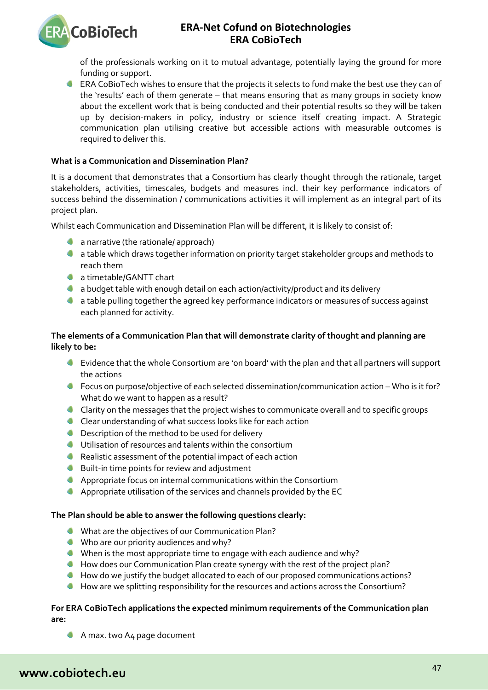of the professionals working on it to mutual advantage, potentially laying the ground for more funding or support.

**ERA CoBioTech wishes to ensure that the projects it selects to fund make the best use they can of** the 'results' each of them generate – that means ensuring that as many groups in society know about the excellent work that is being conducted and their potential results so they will be taken up by decision-makers in policy, industry or science itself creating impact. A Strategic communication plan utilising creative but accessible actions with measurable outcomes is required to deliver this.

### **What is a Communication and Dissemination Plan?**

It is a document that demonstrates that a Consortium has clearly thought through the rationale, target stakeholders, activities, timescales, budgets and measures incl. their key performance indicators of success behind the dissemination / communications activities it will implement as an integral part of its project plan.

Whilst each Communication and Dissemination Plan will be different, it is likely to consist of:

- **a** a narrative (the rationale/ approach)
- a table which draws together information on priority target stakeholder groups and methods to reach them
- **C** a timetable/GANTT chart

**ERA CoBioTech** 

- **4** a budget table with enough detail on each action/activity/product and its delivery
- **C** a table pulling together the agreed key performance indicators or measures of success against each planned for activity.

### **The elements of a Communication Plan that will demonstrate clarity of thought and planning are likely to be:**

- Evidence that the whole Consortium are 'on board' with the plan and that all partners will support the actions
- Focus on purpose/objective of each selected dissemination/communication action Who is it for? What do we want to happen as a result?
- Clarity on the messages that the project wishes to communicate overall and to specific groups
- Clear understanding of what success looks like for each action
- **C** Description of the method to be used for delivery
- Utilisation of resources and talents within the consortium
- Realistic assessment of the potential impact of each action
- **Built-in time points for review and adjustment**
- Appropriate focus on internal communications within the Consortium
- Appropriate utilisation of the services and channels provided by the EC

### **The Plan should be able to answer the following questions clearly:**

- What are the objectives of our Communication Plan?
- Who are our priority audiences and why?
- When is the most appropriate time to engage with each audience and why?
- How does our Communication Plan create synergy with the rest of the project plan?
- How do we justify the budget allocated to each of our proposed communications actions?
- How are we splitting responsibility for the resources and actions across the Consortium?

### **For ERA CoBioTech applications the expected minimum requirements of the Communication plan are:**

A max. two A4 page document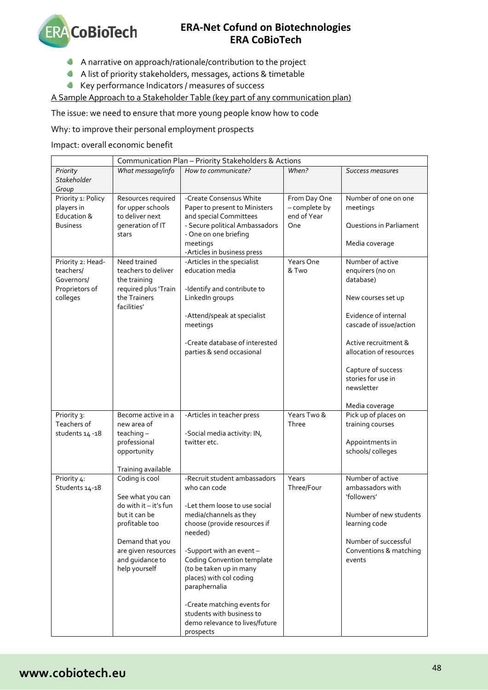

- A narrative on approach/rationale/contribution to the project
- A list of priority stakeholders, messages, actions & timetable
- Key performance Indicators / measures of success

A Sample Approach to a Stakeholder Table (key part of any communication plan)

The issue: we need to ensure that more young people know how to code

Why: to improve their personal employment prospects

Impact: overall economic benefit

|                                  | Communication Plan - Priority Stakeholders & Actions |                                                         |                              |                         |  |  |  |
|----------------------------------|------------------------------------------------------|---------------------------------------------------------|------------------------------|-------------------------|--|--|--|
| Priority                         | What message/info                                    | How to communicate?                                     | When?                        | Success measures        |  |  |  |
| <b>Stakeholder</b>               |                                                      |                                                         |                              |                         |  |  |  |
| Group                            |                                                      |                                                         |                              |                         |  |  |  |
| Priority 1: Policy               | Resources required                                   | -Create Consensus White                                 | From Day One                 | Number of one on one    |  |  |  |
| players in<br>Education &        | for upper schools<br>to deliver next                 | Paper to present to Ministers<br>and special Committees | - complete by<br>end of Year | meetings                |  |  |  |
| <b>Business</b>                  | generation of IT                                     | - Secure political Ambassadors                          | One                          | Questions in Parliament |  |  |  |
|                                  | stars                                                | - One on one briefing                                   |                              |                         |  |  |  |
|                                  |                                                      | meetings                                                |                              | Media coverage          |  |  |  |
|                                  |                                                      | -Articles in business press                             |                              |                         |  |  |  |
| Priority 2: Head-                | Need trained                                         | -Articles in the specialist                             | Years One                    | Number of active        |  |  |  |
| teachers/<br>teachers to deliver |                                                      | education media                                         | & Two                        | enquirers (no on        |  |  |  |
| Governors/                       | the training                                         |                                                         |                              | database)               |  |  |  |
| Proprietors of<br>colleges       | required plus 'Train<br>the Trainers                 | -Identify and contribute to<br>LinkedIn groups          |                              | New courses set up      |  |  |  |
|                                  | facilities'                                          |                                                         |                              |                         |  |  |  |
|                                  |                                                      | -Attend/speak at specialist                             |                              | Evidence of internal    |  |  |  |
|                                  |                                                      | meetings                                                |                              | cascade of issue/action |  |  |  |
|                                  |                                                      |                                                         |                              |                         |  |  |  |
|                                  |                                                      | -Create database of interested                          |                              | Active recruitment &    |  |  |  |
|                                  |                                                      | parties & send occasional                               |                              | allocation of resources |  |  |  |
|                                  |                                                      |                                                         |                              | Capture of success      |  |  |  |
|                                  |                                                      |                                                         |                              | stories for use in      |  |  |  |
|                                  |                                                      |                                                         |                              | newsletter              |  |  |  |
|                                  |                                                      |                                                         |                              |                         |  |  |  |
|                                  |                                                      |                                                         |                              | Media coverage          |  |  |  |
| Priority 3:                      | Become active in a                                   | -Articles in teacher press                              | Years Two &                  | Pick up of places on    |  |  |  |
| Teachers of<br>students 14 -18   | new area of<br>teaching-                             | -Social media activity: IN,                             | Three                        | training courses        |  |  |  |
|                                  | professional                                         | twitter etc.                                            |                              | Appointments in         |  |  |  |
|                                  | opportunity                                          |                                                         |                              | schools/colleges        |  |  |  |
|                                  |                                                      |                                                         |                              |                         |  |  |  |
|                                  | Training available                                   |                                                         |                              |                         |  |  |  |
| Priority 4:                      | Coding is cool                                       | -Recruit student ambassadors                            | Years                        | Number of active        |  |  |  |
| Students 14-18                   |                                                      | who can code                                            | Three/Four                   | ambassadors with        |  |  |  |
|                                  | See what you can<br>do with it - it's fun            | -Let them loose to use social                           |                              | 'followers'             |  |  |  |
|                                  | but it can be                                        | media/channels as they                                  |                              | Number of new students  |  |  |  |
|                                  | profitable too                                       | choose (provide resources if                            |                              | learning code           |  |  |  |
|                                  |                                                      | needed)                                                 |                              |                         |  |  |  |
|                                  | Demand that you                                      |                                                         |                              | Number of successful    |  |  |  |
|                                  | are given resources                                  | -Support with an event-                                 |                              | Conventions & matching  |  |  |  |
|                                  | and guidance to                                      | <b>Coding Convention template</b>                       |                              | events                  |  |  |  |
|                                  | help yourself                                        | (to be taken up in many                                 |                              |                         |  |  |  |
|                                  |                                                      | places) with col coding<br>paraphernalia                |                              |                         |  |  |  |
|                                  |                                                      |                                                         |                              |                         |  |  |  |
|                                  |                                                      | -Create matching events for                             |                              |                         |  |  |  |
|                                  |                                                      | students with business to                               |                              |                         |  |  |  |
|                                  |                                                      | demo relevance to lives/future                          |                              |                         |  |  |  |
|                                  |                                                      | prospects                                               |                              |                         |  |  |  |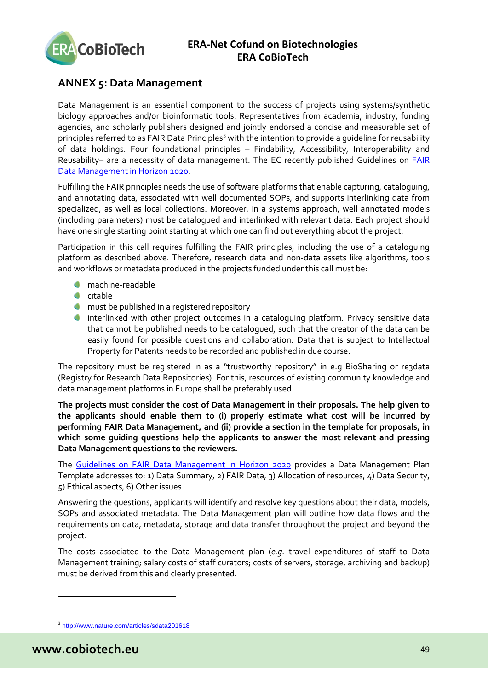

# <span id="page-48-0"></span>**ANNEX 5: Data Management**

Data Management is an essential component to the success of projects using systems/synthetic biology approaches and/or bioinformatic tools. Representatives from academia, industry, funding agencies, and scholarly publishers designed and jointly endorsed a concise and measurable set of principles referred to as FAIR Data Principles<sup>[3](#page-48-1)</sup> with the intention to provide a quideline for reusability of data holdings. Four foundational principles – Findability, Accessibility, Interoperability and Reusability- are a necessity of data management. The EC recently published Guidelines on **FAIR** [Data Management in Horizon 2020.](http://ec.europa.eu/research/participants/data/ref/h2020/grants_manual/hi/oa_pilot/h2020-hi-oa-data-mgt_en.pdf)

Fulfilling the FAIR principles needs the use of software platforms that enable capturing, cataloguing, and annotating data, associated with well documented SOPs, and supports interlinking data from specialized, as well as local collections. Moreover, in a systems approach, well annotated models (including parameters) must be catalogued and interlinked with relevant data. Each project should have one single starting point starting at which one can find out everything about the project.

Participation in this call requires fulfilling the FAIR principles, including the use of a cataloguing platform as described above. Therefore, research data and non-data assets like algorithms, tools and workflows or metadata produced in the projects funded under this call must be:

- machine-readable
- $\bullet$  citable
- **C** must be published in a registered repository
- easily found for possible questions and collaboration. Data that is subject to Intellectual **Interlinked with other project outcomes in a cataloguing platform. Privacy sensitive data** that cannot be published needs to be catalogued, such that the creator of the data can be Property for Patents needs to be recorded and published in due course.

The repository must be registered in as a "trustworthy repository" in e.g BioSharing or re3data (Registry for Research Data Repositories). For this, resources of existing community knowledge and data management platforms in Europe shall be preferably used.

**The projects must consider the cost of Data Management in their proposals. The help given to the applicants should enable them to (i) properly estimate what cost will be incurred by performing FAIR Data Management, and (ii) provide a section in the template for proposals, in which some guiding questions help the applicants to answer the most relevant and pressing Data Management questions to the reviewers.**

The [Guidelines on FAIR Data Management in Horizon 2020](http://ec.europa.eu/research/participants/data/ref/h2020/grants_manual/hi/oa_pilot/h2020-hi-oa-data-mgt_en.pdf) provides a Data Management Plan Template addresses to: 1) Data Summary, 2) FAIR Data, 3) Allocation of resources, 4) Data Security, 5) Ethical aspects, 6) Other issues..

Answering the questions, applicants will identify and resolve key questions about their data, models, SOPs and associated metadata. The Data Management plan will outline how data flows and the requirements on data, metadata, storage and data transfer throughout the project and beyond the project.

The costs associated to the Data Management plan (*e.g.* travel expenditures of staff to Data Management training; salary costs of staff curators; costs of servers, storage, archiving and backup) must be derived from this and clearly presented.

 $\overline{a}$ 

<span id="page-48-1"></span><sup>3</sup> <http://www.nature.com/articles/sdata201618>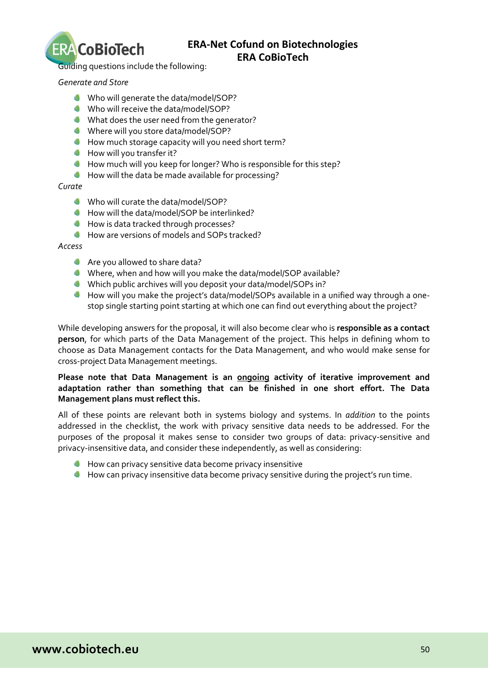

Guiding questions include the following:

*Generate and Store*

- Who will generate the data/model/SOP?
- Who will receive the data/model/SOP?
- What does the user need from the generator?
- Where will you store data/model/SOP?
- How much storage capacity will you need short term?
- How will you transfer it?
- How much will you keep for longer? Who is responsible for this step?
- How will the data be made available for processing?

### *Curate*

- Who will curate the data/model/SOP?
- How will the data/model/SOP be interlinked?
- **How is data tracked through processes?**
- How are versions of models and SOPs tracked?

*Access*

- Are you allowed to share data?
- Where, when and how will you make the data/model/SOP available?
- Which public archives will you deposit your data/model/SOPs in?
- How will you make the project's data/model/SOPs available in a unified way through a onestop single starting point starting at which one can find out everything about the project?

person, for which parts of the Data Management of the project. This helps in defining whom to While developing answers for the proposal, it will also become clear who is **responsible as a contact**  choose as Data Management contacts for the Data Management, and who would make sense for cross-project Data Management meetings.

### **Please note that Data Management is an ongoing activity of iterative improvement and adaptation rather than something that can be finished in one short effort. The Data Management plans must reflect this.**

All of these points are relevant both in systems biology and systems. In *addition* to the points addressed in the checklist, the work with privacy sensitive data needs to be addressed. For the purposes of the proposal it makes sense to consider two groups of data: privacy-sensitive and privacy-insensitive data, and consider these independently, as well as considering:

- **How can privacy sensitive data become privacy insensitive**
- <span id="page-49-0"></span>How can privacy insensitive data become privacy sensitive during the project's run time.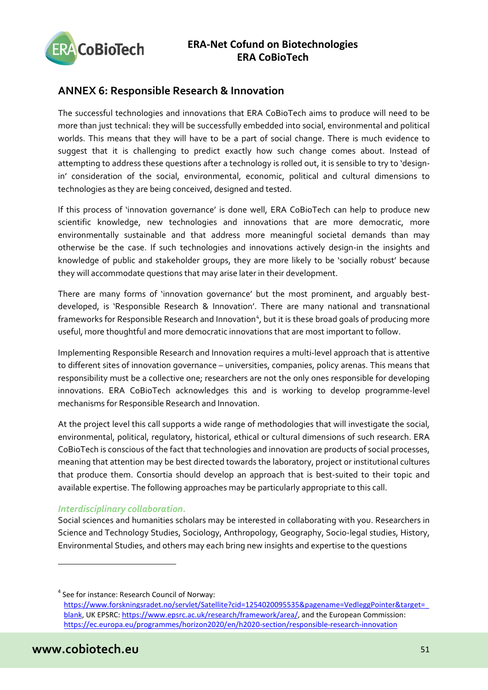

# <span id="page-50-0"></span>**ANNEX 6: Responsible Research & Innovation**

The successful technologies and innovations that ERA CoBioTech aims to produce will need to be more than just technical: they will be successfully embedded into social, environmental and political worlds. This means that they will have to be a part of social change. There is much evidence to suggest that it is challenging to predict exactly how such change comes about. Instead of attempting to address these questions after a technology is rolled out, it is sensible to try to 'designin' consideration of the social, environmental, economic, political and cultural dimensions to technologies as they are being conceived, designed and tested.

If this process of 'innovation governance' is done well, ERA CoBioTech can help to produce new scientific knowledge, new technologies and innovations that are more democratic, more environmentally sustainable and that address more meaningful societal demands than may otherwise be the case. If such technologies and innovations actively design-in the insights and knowledge of public and stakeholder groups, they are more likely to be 'socially robust' because they will accommodate questions that may arise later in their development.

There are many forms of 'innovation governance' but the most prominent, and arguably bestdeveloped, is 'Responsible Research & Innovation'. There are many national and transnational frameworks for Responsible Research and Innovation<sup>[4](#page-50-1)</sup>, but it is these broad goals of producing more useful, more thoughtful and more democratic innovations that are most important to follow.

Implementing Responsible Research and Innovation requires a multi-level approach that is attentive to different sites of innovation governance – universities, companies, policy arenas. This means that responsibility must be a collective one; researchers are not the only ones responsible for developing innovations. ERA CoBioTech acknowledges this and is working to develop programme-level mechanisms for Responsible Research and Innovation.

At the project level this call supports a wide range of methodologies that will investigate the social, environmental, political, regulatory, historical, ethical or cultural dimensions of such research. ERA CoBioTech is conscious of the fact that technologies and innovation are products of social processes, meaning that attention may be best directed towards the laboratory, project or institutional cultures that produce them. Consortia should develop an approach that is best-suited to their topic and available expertise. The following approaches may be particularly appropriate to this call.

### *Interdisciplinary collaboration.*

Social sciences and humanities scholars may be interested in collaborating with you. Researchers in Science and Technology Studies, Sociology, Anthropology, Geography, Socio-legal studies, History, Environmental Studies, and others may each bring new insights and expertise to the questions

<span id="page-50-1"></span><sup>4</sup> See for instance: Research Council of Norway: [https://www.forskningsradet.no/servlet/Satellite?cid=1254020095535&pagename=VedleggPointer&target=\\_](https://www.forskningsradet.no/servlet/Satellite?cid=1254020095535&pagename=VedleggPointer&target=_blank) [blank,](https://www.forskningsradet.no/servlet/Satellite?cid=1254020095535&pagename=VedleggPointer&target=_blank) UK EPSRC: [https://www.epsrc.ac.uk/research/framework/area/,](https://www.epsrc.ac.uk/research/framework/area/) and the European Commission: <https://ec.europa.eu/programmes/horizon2020/en/h2020-section/responsible-research-innovation>

 $\overline{a}$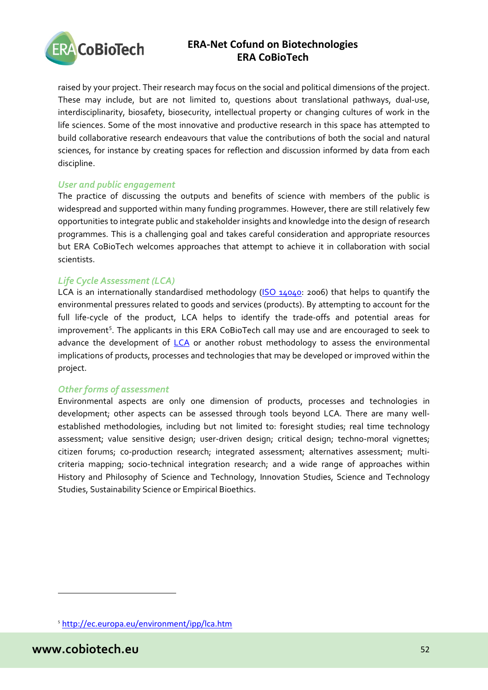

raised by your project. Their research may focus on the social and political dimensions of the project. These may include, but are not limited to, questions about translational pathways, dual-use, interdisciplinarity, biosafety, biosecurity, intellectual property or changing cultures of work in the life sciences. Some of the most innovative and productive research in this space has attempted to build collaborative research endeavours that value the contributions of both the social and natural sciences, for instance by creating spaces for reflection and discussion informed by data from each discipline.

### *User and public engagement*

The practice of discussing the outputs and benefits of science with members of the public is widespread and supported within many funding programmes. However, there are still relatively few opportunities to integrate public and stakeholder insights and knowledge into the design of research programmes. This is a challenging goal and takes careful consideration and appropriate resources but ERA CoBioTech welcomes approaches that attempt to achieve it in collaboration with social scientists.

### *Life Cycle Assessment (LCA)*

advance the development of [LCA](http://eplca.jrc.ec.europa.eu/) or another robust methodology to assess the environmental LCA is an internationally standardised methodology [\(ISO 14040:](http://www.iso.org/iso/catalogue_detail?csnumber=37456) 2006) that helps to quantify the environmental pressures related to goods and services (products). By attempting to account for the full life-cycle of the product, LCA helps to identify the trade-offs and potential areas for improvement<sup>[5](#page-51-0)</sup>. The applicants in this ERA CoBioTech call may use and are encouraged to seek to implications of products, processes and technologies that may be developed or improved within the project.

### *Other forms of assessment*

Environmental aspects are only one dimension of products, processes and technologies in development; other aspects can be assessed through tools beyond LCA. There are many wellestablished methodologies, including but not limited to: foresight studies; real time technology assessment; value sensitive design; user-driven design; critical design; techno-moral vignettes; citizen forums; co-production research; integrated assessment; alternatives assessment; multicriteria mapping; socio-technical integration research; and a wide range of approaches within History and Philosophy of Science and Technology, Innovation Studies, Science and Technology Studies, Sustainability Science or Empirical Bioethics.

 $\overline{a}$ 

<span id="page-51-0"></span><sup>5</sup> <http://ec.europa.eu/environment/ipp/lca.htm>